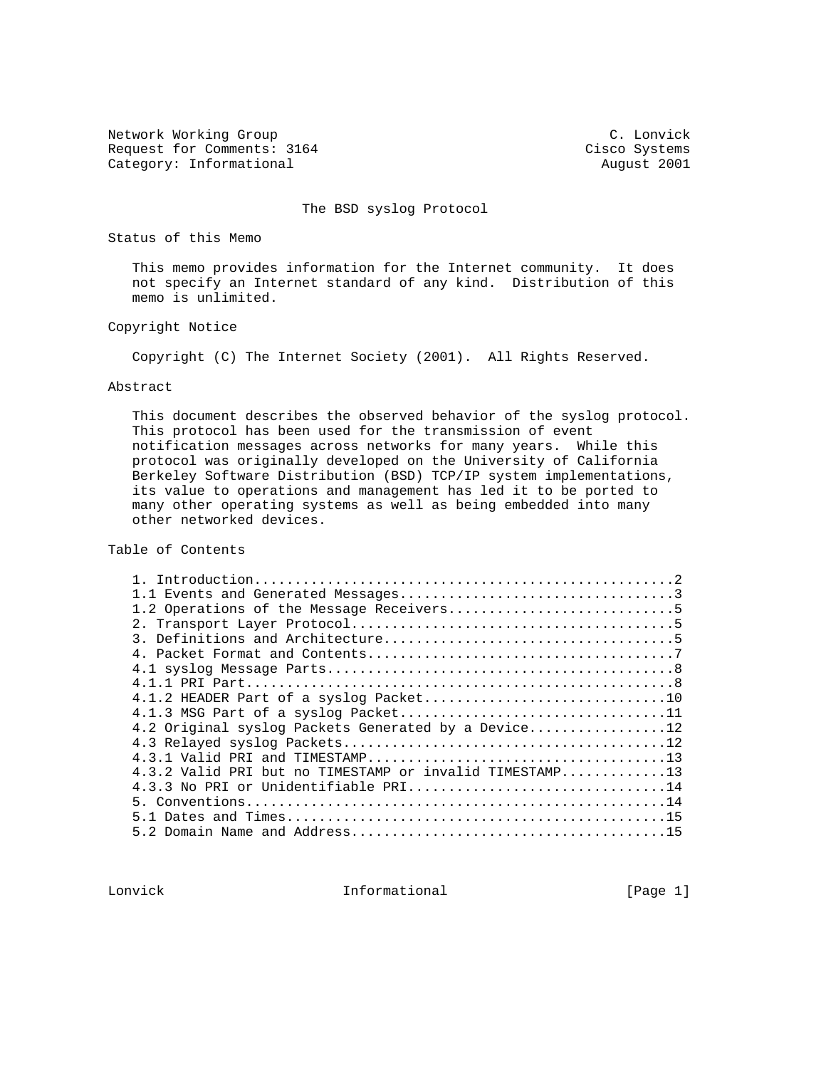Network Working Group C. Lonvick Request for Comments: 3164 Cisco Systems Category: Informational and August 2001

The BSD syslog Protocol

Status of this Memo

 This memo provides information for the Internet community. It does not specify an Internet standard of any kind. Distribution of this memo is unlimited.

Copyright Notice

Copyright (C) The Internet Society (2001). All Rights Reserved.

## Abstract

 This document describes the observed behavior of the syslog protocol. This protocol has been used for the transmission of event notification messages across networks for many years. While this protocol was originally developed on the University of California Berkeley Software Distribution (BSD) TCP/IP system implementations, its value to operations and management has led it to be ported to many other operating systems as well as being embedded into many other networked devices.

Table of Contents

| 4.1.2 HEADER Part of a syslog Packet10                  |  |
|---------------------------------------------------------|--|
|                                                         |  |
| 4.2 Original syslog Packets Generated by a Device12     |  |
|                                                         |  |
|                                                         |  |
| 4.3.2 Valid PRI but no TIMESTAMP or invalid TIMESTAMP13 |  |
| 4.3.3 No PRI or Unidentifiable $PRI$ 14                 |  |
|                                                         |  |
|                                                         |  |
|                                                         |  |
|                                                         |  |

Lonvick 1nformational [Page 1]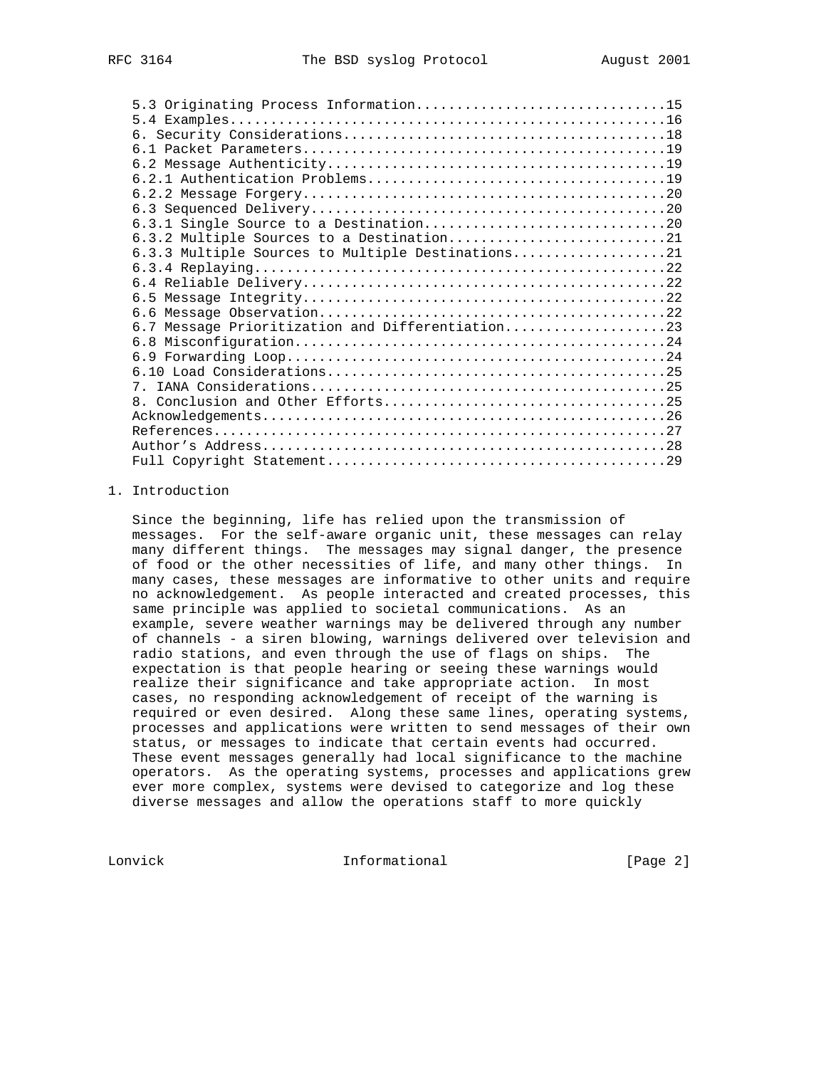| 5.3 Originating Process Information15<br>6.3.3 Multiple Sources to Multiple Destinations21<br>6.7 Message Prioritization and Differentiation23 |
|------------------------------------------------------------------------------------------------------------------------------------------------|

## 1. Introduction

 Since the beginning, life has relied upon the transmission of messages. For the self-aware organic unit, these messages can relay many different things. The messages may signal danger, the presence of food or the other necessities of life, and many other things. In many cases, these messages are informative to other units and require no acknowledgement. As people interacted and created processes, this same principle was applied to societal communications. As an example, severe weather warnings may be delivered through any number of channels - a siren blowing, warnings delivered over television and radio stations, and even through the use of flags on ships. The expectation is that people hearing or seeing these warnings would realize their significance and take appropriate action. In most cases, no responding acknowledgement of receipt of the warning is required or even desired. Along these same lines, operating systems, processes and applications were written to send messages of their own status, or messages to indicate that certain events had occurred. These event messages generally had local significance to the machine operators. As the operating systems, processes and applications grew ever more complex, systems were devised to categorize and log these diverse messages and allow the operations staff to more quickly

Lonvick Informational [Page 2]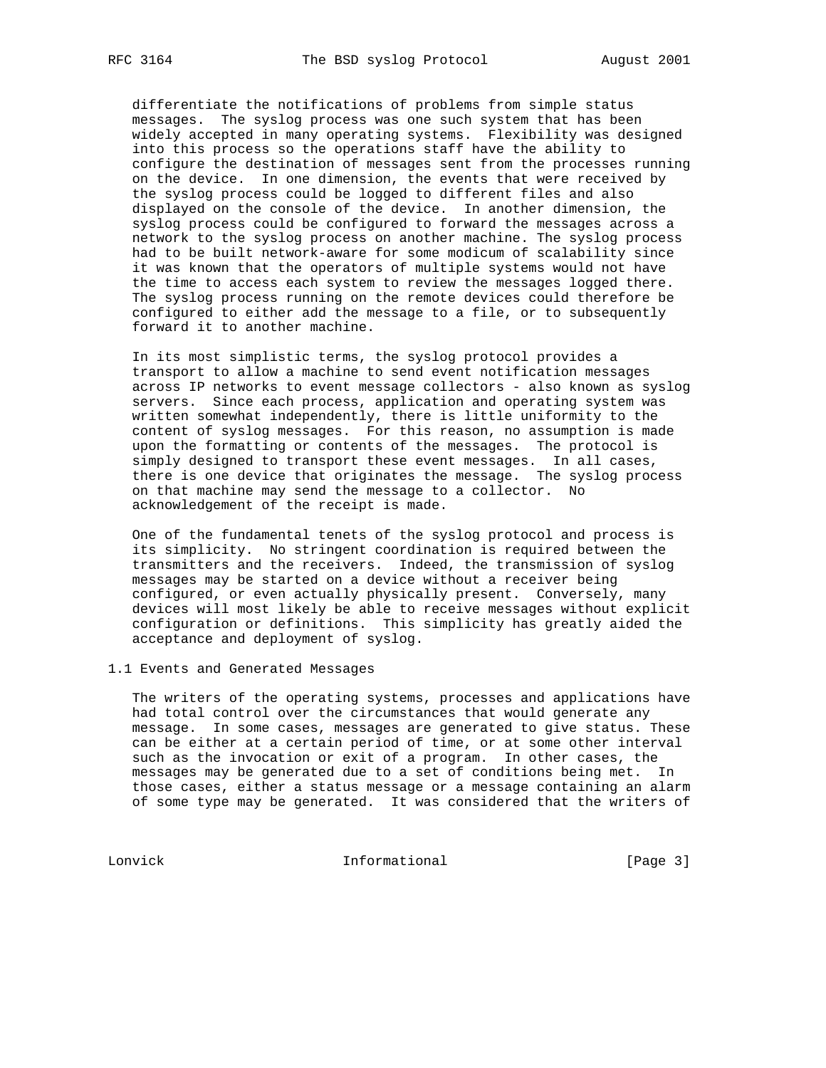differentiate the notifications of problems from simple status messages. The syslog process was one such system that has been widely accepted in many operating systems. Flexibility was designed into this process so the operations staff have the ability to configure the destination of messages sent from the processes running on the device. In one dimension, the events that were received by the syslog process could be logged to different files and also displayed on the console of the device. In another dimension, the syslog process could be configured to forward the messages across a network to the syslog process on another machine. The syslog process had to be built network-aware for some modicum of scalability since it was known that the operators of multiple systems would not have the time to access each system to review the messages logged there. The syslog process running on the remote devices could therefore be configured to either add the message to a file, or to subsequently forward it to another machine.

 In its most simplistic terms, the syslog protocol provides a transport to allow a machine to send event notification messages across IP networks to event message collectors - also known as syslog servers. Since each process, application and operating system was written somewhat independently, there is little uniformity to the content of syslog messages. For this reason, no assumption is made upon the formatting or contents of the messages. The protocol is simply designed to transport these event messages. In all cases, there is one device that originates the message. The syslog process on that machine may send the message to a collector. No acknowledgement of the receipt is made.

 One of the fundamental tenets of the syslog protocol and process is its simplicity. No stringent coordination is required between the transmitters and the receivers. Indeed, the transmission of syslog messages may be started on a device without a receiver being configured, or even actually physically present. Conversely, many devices will most likely be able to receive messages without explicit configuration or definitions. This simplicity has greatly aided the acceptance and deployment of syslog.

## 1.1 Events and Generated Messages

 The writers of the operating systems, processes and applications have had total control over the circumstances that would generate any message. In some cases, messages are generated to give status. These can be either at a certain period of time, or at some other interval such as the invocation or exit of a program. In other cases, the messages may be generated due to a set of conditions being met. In those cases, either a status message or a message containing an alarm of some type may be generated. It was considered that the writers of

Lonvick Informational [Page 3]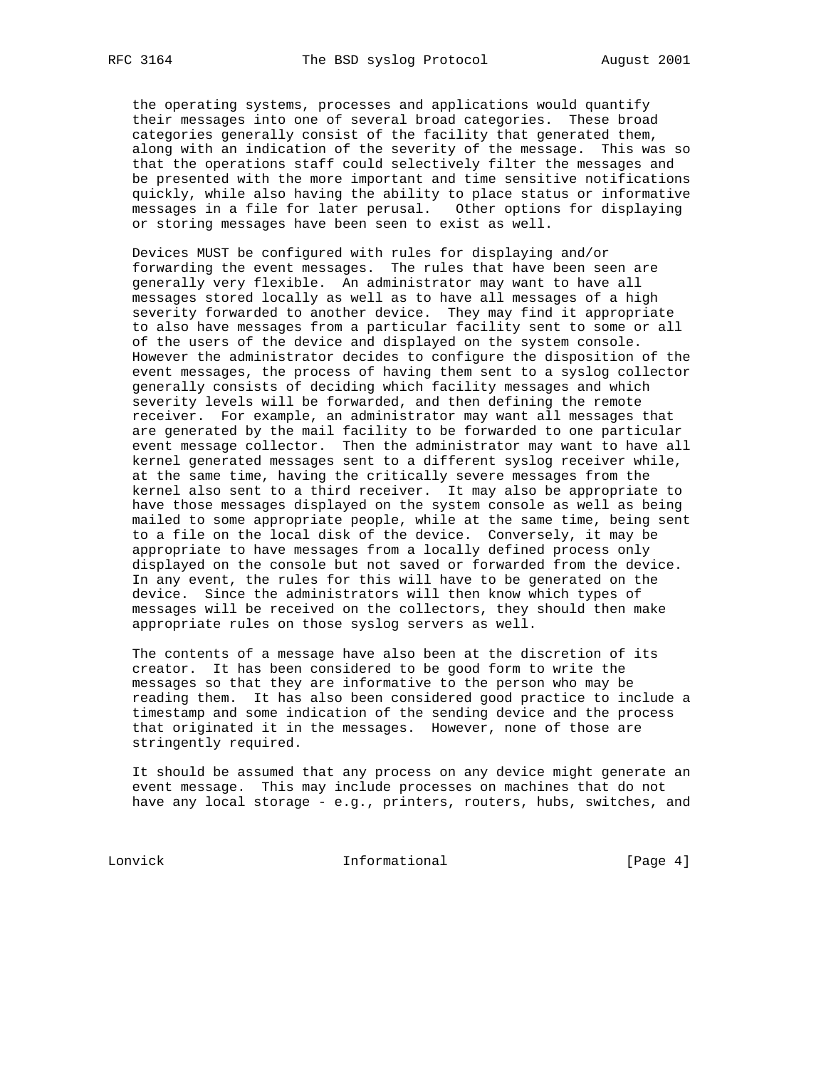the operating systems, processes and applications would quantify their messages into one of several broad categories. These broad categories generally consist of the facility that generated them, along with an indication of the severity of the message. This was so that the operations staff could selectively filter the messages and be presented with the more important and time sensitive notifications quickly, while also having the ability to place status or informative messages in a file for later perusal. Other options for displaying or storing messages have been seen to exist as well.

 Devices MUST be configured with rules for displaying and/or forwarding the event messages. The rules that have been seen are generally very flexible. An administrator may want to have all messages stored locally as well as to have all messages of a high severity forwarded to another device. They may find it appropriate to also have messages from a particular facility sent to some or all of the users of the device and displayed on the system console. However the administrator decides to configure the disposition of the event messages, the process of having them sent to a syslog collector generally consists of deciding which facility messages and which severity levels will be forwarded, and then defining the remote receiver. For example, an administrator may want all messages that are generated by the mail facility to be forwarded to one particular event message collector. Then the administrator may want to have all kernel generated messages sent to a different syslog receiver while, at the same time, having the critically severe messages from the kernel also sent to a third receiver. It may also be appropriate to have those messages displayed on the system console as well as being mailed to some appropriate people, while at the same time, being sent to a file on the local disk of the device. Conversely, it may be appropriate to have messages from a locally defined process only displayed on the console but not saved or forwarded from the device. In any event, the rules for this will have to be generated on the device. Since the administrators will then know which types of messages will be received on the collectors, they should then make appropriate rules on those syslog servers as well.

 The contents of a message have also been at the discretion of its creator. It has been considered to be good form to write the messages so that they are informative to the person who may be reading them. It has also been considered good practice to include a timestamp and some indication of the sending device and the process that originated it in the messages. However, none of those are stringently required.

 It should be assumed that any process on any device might generate an event message. This may include processes on machines that do not have any local storage - e.g., printers, routers, hubs, switches, and

Lonvick Informational [Page 4]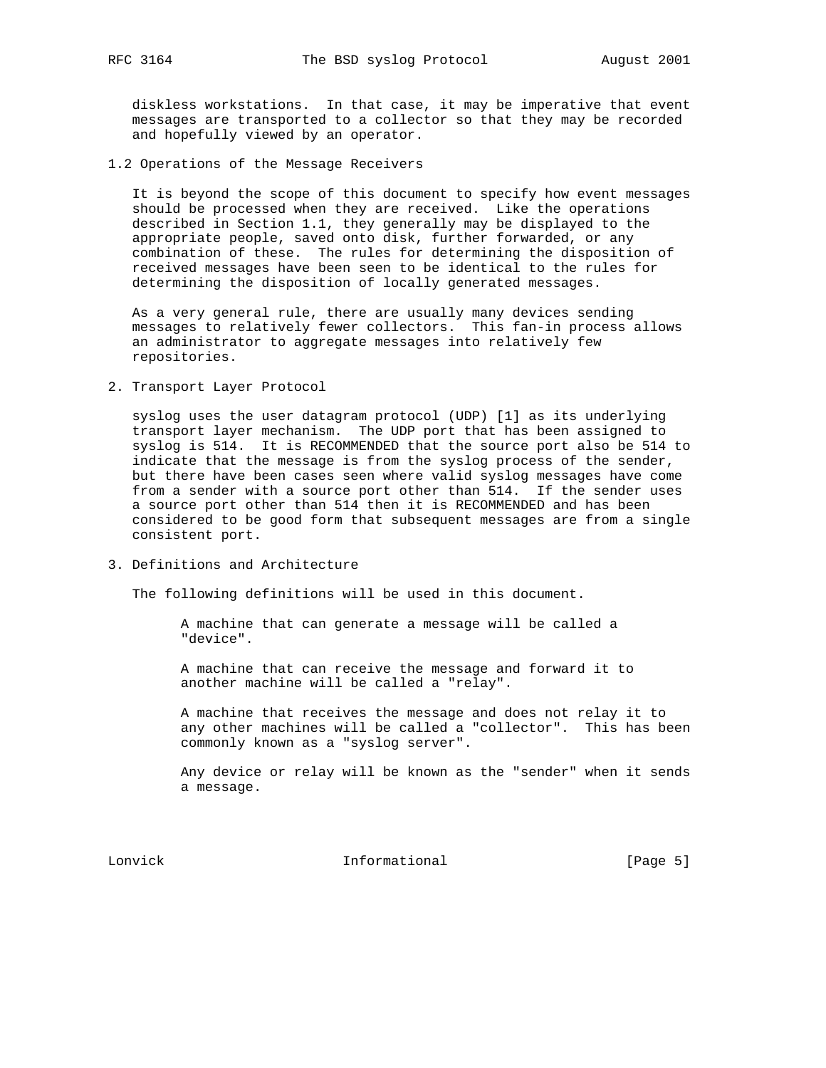diskless workstations. In that case, it may be imperative that event messages are transported to a collector so that they may be recorded and hopefully viewed by an operator.

1.2 Operations of the Message Receivers

 It is beyond the scope of this document to specify how event messages should be processed when they are received. Like the operations described in Section 1.1, they generally may be displayed to the appropriate people, saved onto disk, further forwarded, or any combination of these. The rules for determining the disposition of received messages have been seen to be identical to the rules for determining the disposition of locally generated messages.

 As a very general rule, there are usually many devices sending messages to relatively fewer collectors. This fan-in process allows an administrator to aggregate messages into relatively few repositories.

2. Transport Layer Protocol

 syslog uses the user datagram protocol (UDP) [1] as its underlying transport layer mechanism. The UDP port that has been assigned to syslog is 514. It is RECOMMENDED that the source port also be 514 to indicate that the message is from the syslog process of the sender, but there have been cases seen where valid syslog messages have come from a sender with a source port other than 514. If the sender uses a source port other than 514 then it is RECOMMENDED and has been considered to be good form that subsequent messages are from a single consistent port.

3. Definitions and Architecture

The following definitions will be used in this document.

 A machine that can generate a message will be called a "device".

 A machine that can receive the message and forward it to another machine will be called a "relay".

 A machine that receives the message and does not relay it to any other machines will be called a "collector". This has been commonly known as a "syslog server".

 Any device or relay will be known as the "sender" when it sends a message.

Lonvick Informational [Page 5]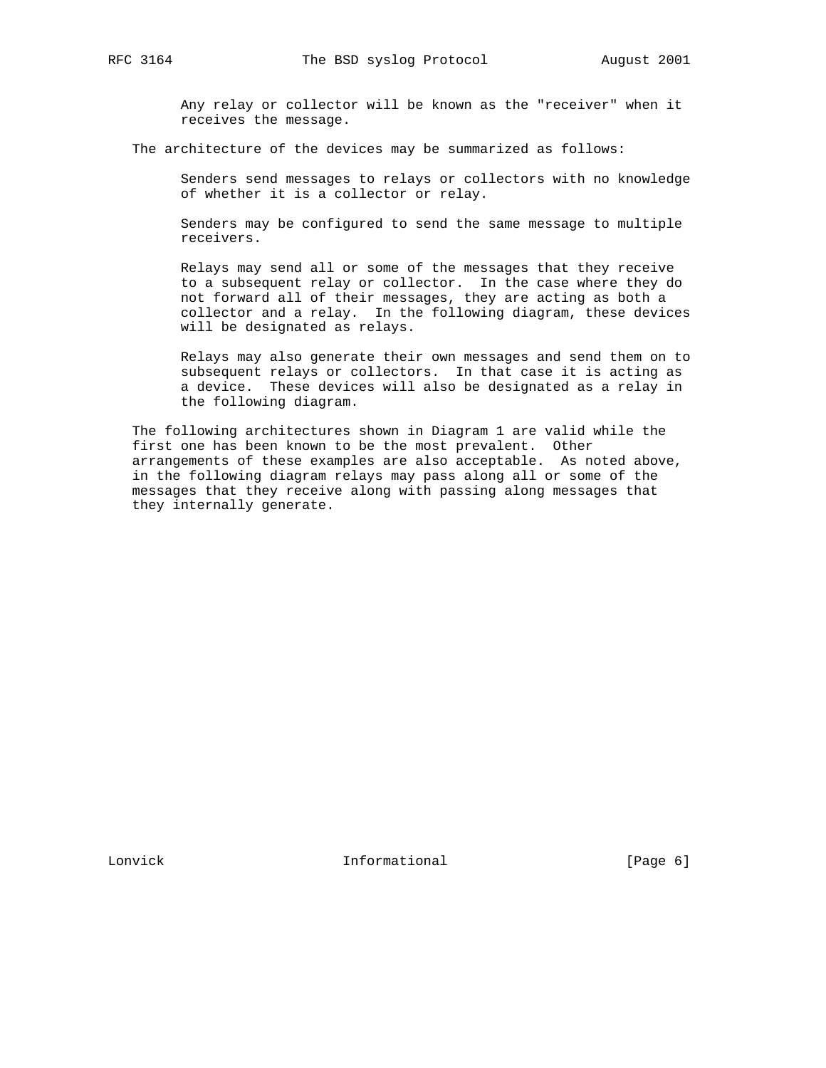Any relay or collector will be known as the "receiver" when it receives the message.

The architecture of the devices may be summarized as follows:

 Senders send messages to relays or collectors with no knowledge of whether it is a collector or relay.

 Senders may be configured to send the same message to multiple receivers.

 Relays may send all or some of the messages that they receive to a subsequent relay or collector. In the case where they do not forward all of their messages, they are acting as both a collector and a relay. In the following diagram, these devices will be designated as relays.

 Relays may also generate their own messages and send them on to subsequent relays or collectors. In that case it is acting as a device. These devices will also be designated as a relay in the following diagram.

 The following architectures shown in Diagram 1 are valid while the first one has been known to be the most prevalent. Other arrangements of these examples are also acceptable. As noted above, in the following diagram relays may pass along all or some of the messages that they receive along with passing along messages that they internally generate.

Lonvick 1nformational [Page 6]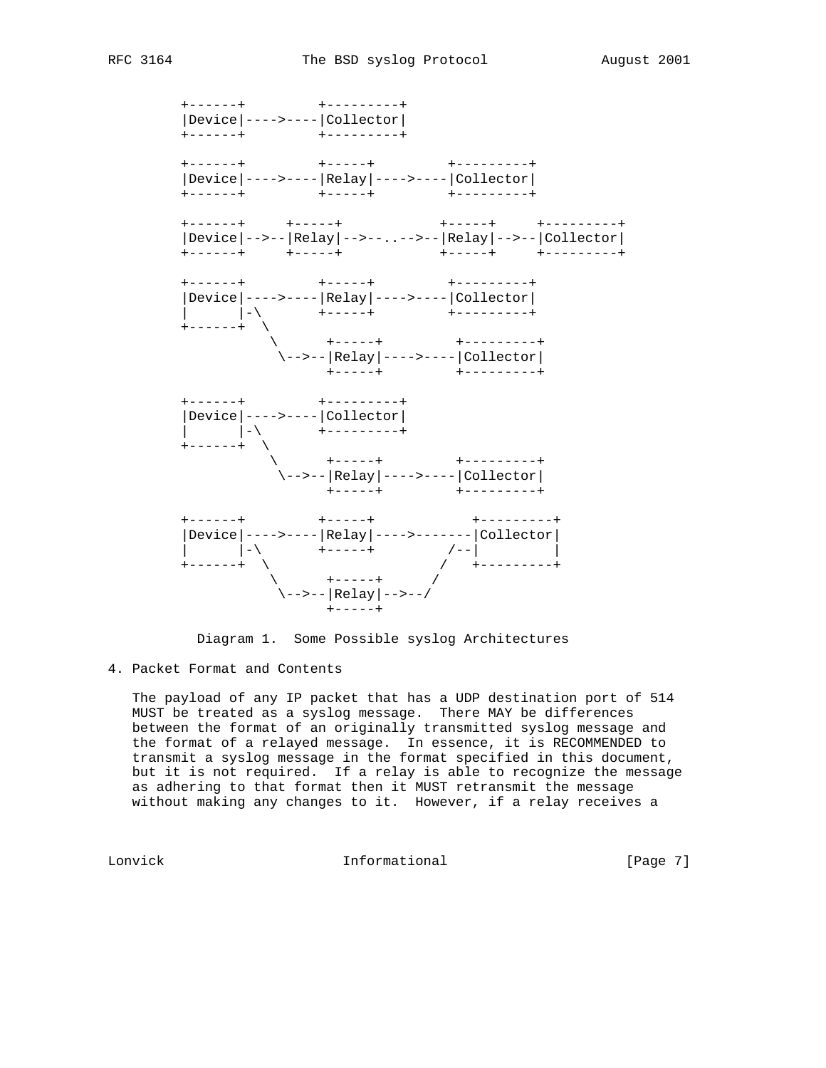



4. Packet Format and Contents

 The payload of any IP packet that has a UDP destination port of 514 MUST be treated as a syslog message. There MAY be differences between the format of an originally transmitted syslog message and the format of a relayed message. In essence, it is RECOMMENDED to transmit a syslog message in the format specified in this document, but it is not required. If a relay is able to recognize the message as adhering to that format then it MUST retransmit the message without making any changes to it. However, if a relay receives a

Lonvick 1nformational [Page 7]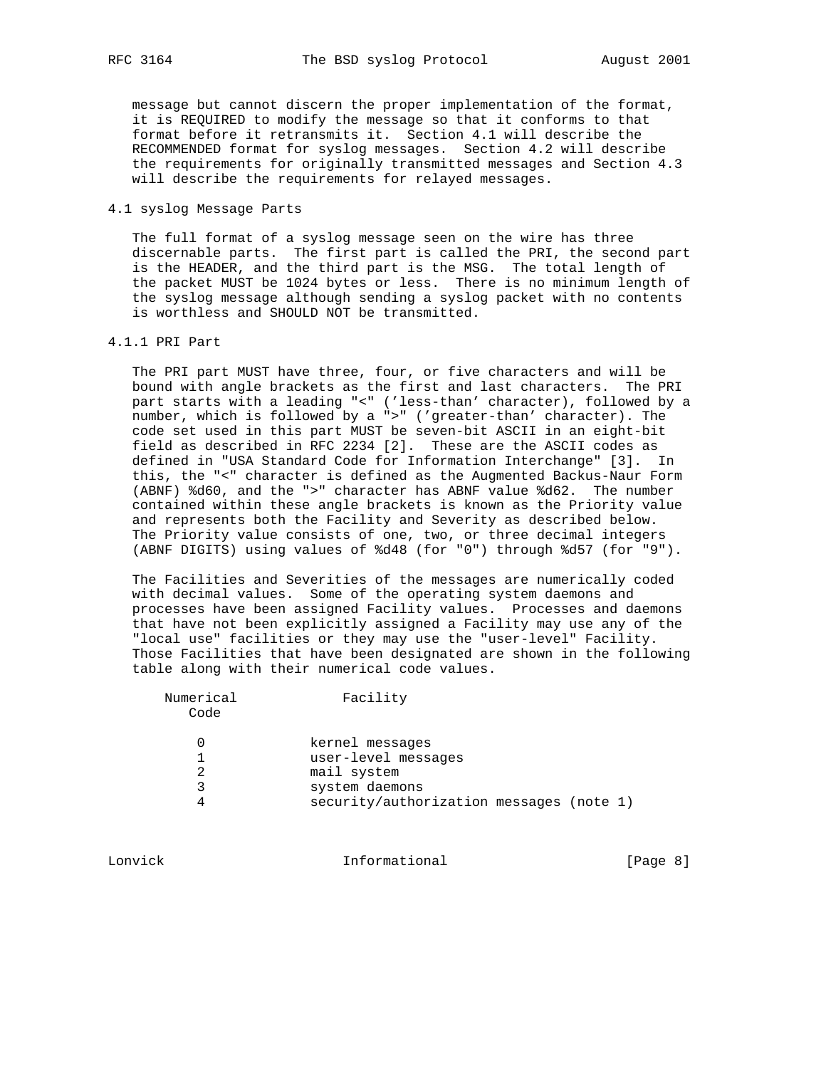message but cannot discern the proper implementation of the format, it is REQUIRED to modify the message so that it conforms to that format before it retransmits it. Section 4.1 will describe the RECOMMENDED format for syslog messages. Section 4.2 will describe the requirements for originally transmitted messages and Section 4.3 will describe the requirements for relayed messages.

#### 4.1 syslog Message Parts

 The full format of a syslog message seen on the wire has three discernable parts. The first part is called the PRI, the second part is the HEADER, and the third part is the MSG. The total length of the packet MUST be 1024 bytes or less. There is no minimum length of the syslog message although sending a syslog packet with no contents is worthless and SHOULD NOT be transmitted.

### 4.1.1 PRI Part

 The PRI part MUST have three, four, or five characters and will be bound with angle brackets as the first and last characters. The PRI part starts with a leading "<" ('less-than' character), followed by a number, which is followed by a ">" ('greater-than' character). The code set used in this part MUST be seven-bit ASCII in an eight-bit field as described in RFC 2234 [2]. These are the ASCII codes as defined in "USA Standard Code for Information Interchange" [3]. In this, the "<" character is defined as the Augmented Backus-Naur Form (ABNF) %d60, and the ">" character has ABNF value %d62. The number contained within these angle brackets is known as the Priority value and represents both the Facility and Severity as described below. The Priority value consists of one, two, or three decimal integers (ABNF DIGITS) using values of %d48 (for "0") through %d57 (for "9").

 The Facilities and Severities of the messages are numerically coded with decimal values. Some of the operating system daemons and processes have been assigned Facility values. Processes and daemons that have not been explicitly assigned a Facility may use any of the "local use" facilities or they may use the "user-level" Facility. Those Facilities that have been designated are shown in the following table along with their numerical code values.

| Numerical<br>Code | Facility                                 |
|-------------------|------------------------------------------|
|                   | kernel messages                          |
|                   | user-level messages                      |
|                   | mail system                              |
| 3                 | system daemons                           |
| 4                 | security/authorization messages (note 1) |

Lonvick Informational [Page 8]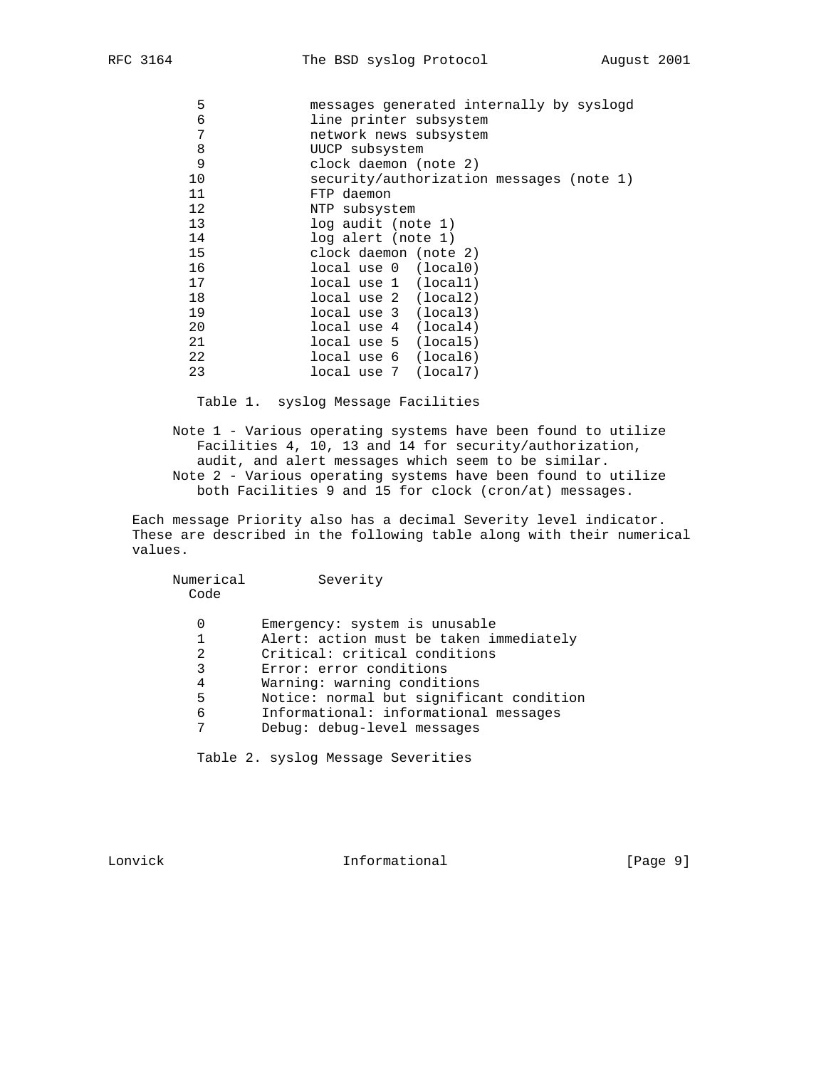| 5  | messages generated internally by syslogd |
|----|------------------------------------------|
| 6  | line printer subsystem                   |
| 7  | network news subsystem                   |
| 8  | UUCP subsystem                           |
| 9  | clock daemon (note 2)                    |
| 10 | security/authorization messages (note 1) |
| 11 | FTP daemon                               |
| 12 | NTP subsystem                            |
| 13 | log audit (note 1)                       |
| 14 | log alert (note 1)                       |
| 15 | clock daemon (note 2)                    |
| 16 | local use 0 (local 0)                    |
| 17 | local use 1 (local1)                     |
| 18 | local use 2 (local2)                     |
| 19 | local use 3 (local3)                     |
| 20 | local use 4 (local4)                     |
| 21 | local use 5 (local5)                     |
| 22 | local use 6 (local 6)                    |
| 23 | local use 7 (local7)                     |
|    |                                          |

Table 1. syslog Message Facilities

 Note 1 - Various operating systems have been found to utilize Facilities 4, 10, 13 and 14 for security/authorization, audit, and alert messages which seem to be similar. Note 2 - Various operating systems have been found to utilize both Facilities 9 and 15 for clock (cron/at) messages.

 Each message Priority also has a decimal Severity level indicator. These are described in the following table along with their numerical values.

| Numerical<br>Code          | Severity                                                                                                                                                                                                                                                                                |
|----------------------------|-----------------------------------------------------------------------------------------------------------------------------------------------------------------------------------------------------------------------------------------------------------------------------------------|
| 0<br>2<br>3<br>4<br>5<br>6 | Emergency: system is unusable<br>Alert: action must be taken immediately<br>Critical: critical conditions<br>Error: error conditions<br>Warning: warning conditions<br>Notice: normal but significant condition<br>Informational: informational messages<br>Debug: debug-level messages |

Table 2. syslog Message Severities

Lonvick 1nformational [Page 9]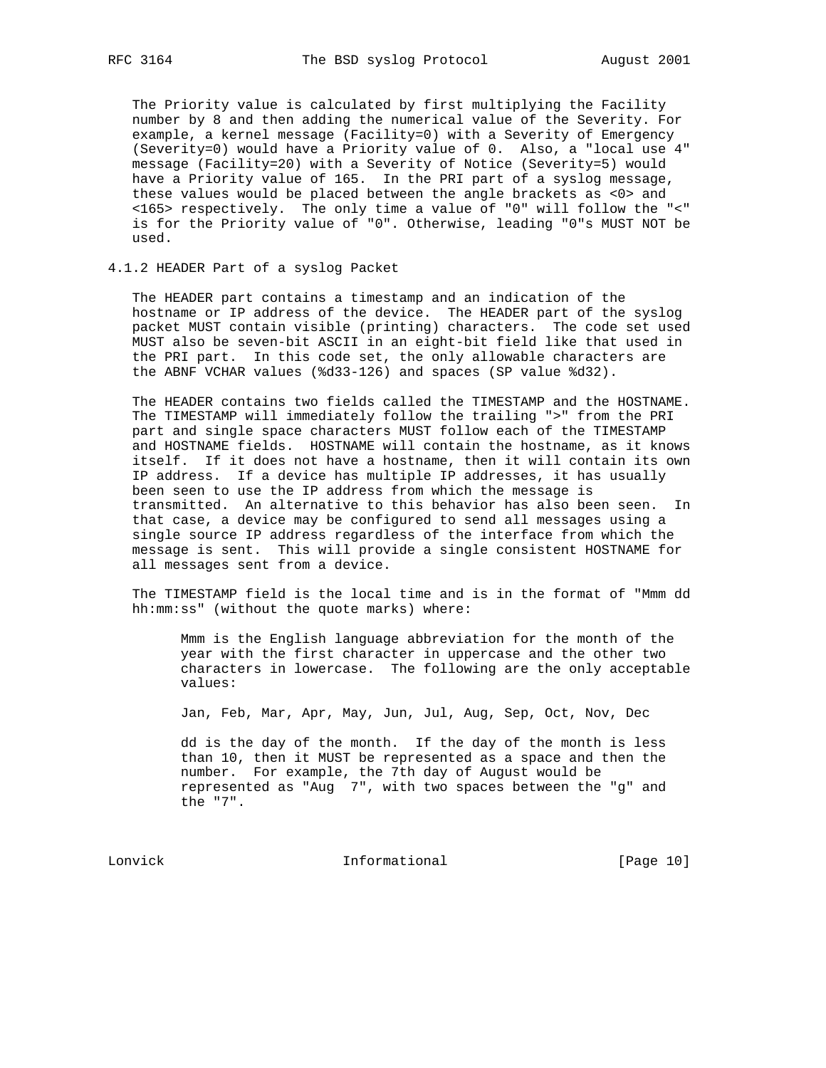The Priority value is calculated by first multiplying the Facility number by 8 and then adding the numerical value of the Severity. For example, a kernel message (Facility=0) with a Severity of Emergency (Severity=0) would have a Priority value of 0. Also, a "local use 4" message (Facility=20) with a Severity of Notice (Severity=5) would have a Priority value of 165. In the PRI part of a syslog message, these values would be placed between the angle brackets as <0> and <165> respectively. The only time a value of "0" will follow the "<" is for the Priority value of "0". Otherwise, leading "0"s MUST NOT be used.

## 4.1.2 HEADER Part of a syslog Packet

 The HEADER part contains a timestamp and an indication of the hostname or IP address of the device. The HEADER part of the syslog packet MUST contain visible (printing) characters. The code set used MUST also be seven-bit ASCII in an eight-bit field like that used in the PRI part. In this code set, the only allowable characters are the ABNF VCHAR values (%d33-126) and spaces (SP value %d32).

 The HEADER contains two fields called the TIMESTAMP and the HOSTNAME. The TIMESTAMP will immediately follow the trailing ">" from the PRI part and single space characters MUST follow each of the TIMESTAMP and HOSTNAME fields. HOSTNAME will contain the hostname, as it knows itself. If it does not have a hostname, then it will contain its own IP address. If a device has multiple IP addresses, it has usually been seen to use the IP address from which the message is transmitted. An alternative to this behavior has also been seen. In that case, a device may be configured to send all messages using a single source IP address regardless of the interface from which the message is sent. This will provide a single consistent HOSTNAME for all messages sent from a device.

 The TIMESTAMP field is the local time and is in the format of "Mmm dd hh:mm:ss" (without the quote marks) where:

 Mmm is the English language abbreviation for the month of the year with the first character in uppercase and the other two characters in lowercase. The following are the only acceptable values:

Jan, Feb, Mar, Apr, May, Jun, Jul, Aug, Sep, Oct, Nov, Dec

 dd is the day of the month. If the day of the month is less than 10, then it MUST be represented as a space and then the number. For example, the 7th day of August would be represented as "Aug 7", with two spaces between the "g" and the "7".

Lonvick Informational [Page 10]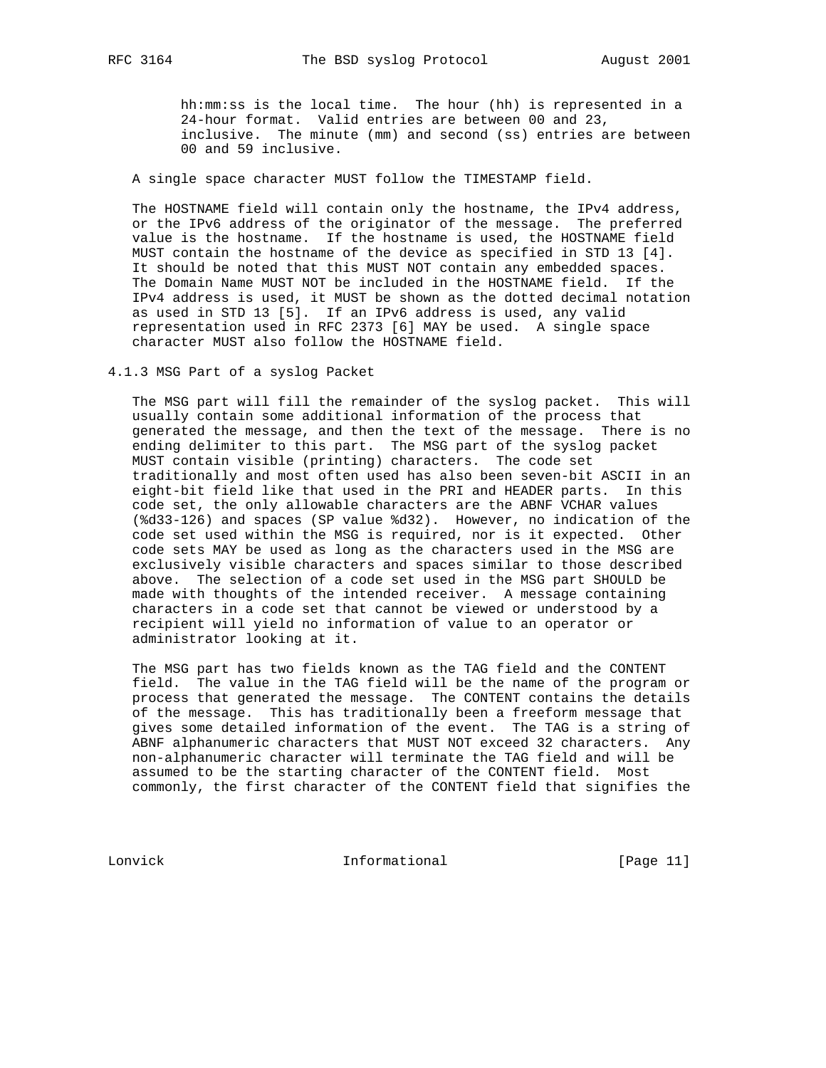hh:mm:ss is the local time. The hour (hh) is represented in a 24-hour format. Valid entries are between 00 and 23, inclusive. The minute (mm) and second (ss) entries are between 00 and 59 inclusive.

A single space character MUST follow the TIMESTAMP field.

 The HOSTNAME field will contain only the hostname, the IPv4 address, or the IPv6 address of the originator of the message. The preferred value is the hostname. If the hostname is used, the HOSTNAME field MUST contain the hostname of the device as specified in STD 13 [4]. It should be noted that this MUST NOT contain any embedded spaces. The Domain Name MUST NOT be included in the HOSTNAME field. If the IPv4 address is used, it MUST be shown as the dotted decimal notation as used in STD 13 [5]. If an IPv6 address is used, any valid representation used in RFC 2373 [6] MAY be used. A single space character MUST also follow the HOSTNAME field.

4.1.3 MSG Part of a syslog Packet

 The MSG part will fill the remainder of the syslog packet. This will usually contain some additional information of the process that generated the message, and then the text of the message. There is no ending delimiter to this part. The MSG part of the syslog packet MUST contain visible (printing) characters. The code set traditionally and most often used has also been seven-bit ASCII in an eight-bit field like that used in the PRI and HEADER parts. In this code set, the only allowable characters are the ABNF VCHAR values (%d33-126) and spaces (SP value %d32). However, no indication of the code set used within the MSG is required, nor is it expected. Other code sets MAY be used as long as the characters used in the MSG are exclusively visible characters and spaces similar to those described above. The selection of a code set used in the MSG part SHOULD be made with thoughts of the intended receiver. A message containing characters in a code set that cannot be viewed or understood by a recipient will yield no information of value to an operator or administrator looking at it.

 The MSG part has two fields known as the TAG field and the CONTENT field. The value in the TAG field will be the name of the program or process that generated the message. The CONTENT contains the details of the message. This has traditionally been a freeform message that gives some detailed information of the event. The TAG is a string of ABNF alphanumeric characters that MUST NOT exceed 32 characters. Any non-alphanumeric character will terminate the TAG field and will be assumed to be the starting character of the CONTENT field. Most commonly, the first character of the CONTENT field that signifies the

Lonvick Informational [Page 11]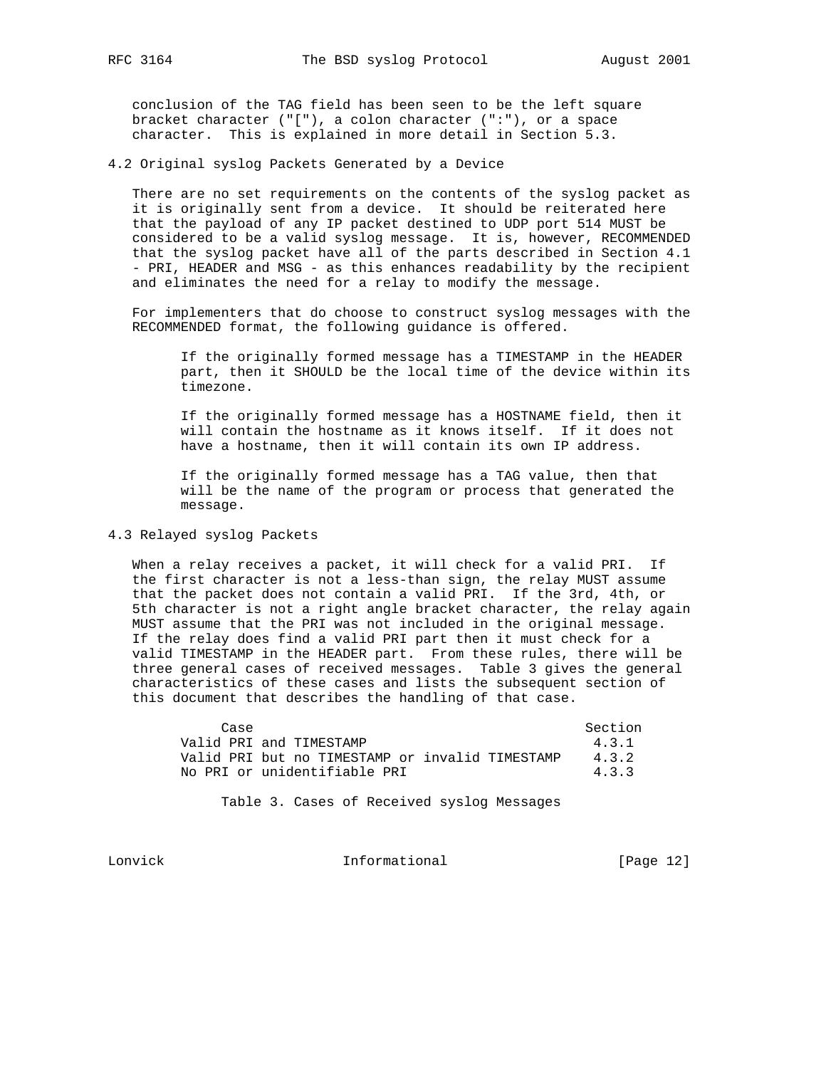conclusion of the TAG field has been seen to be the left square bracket character ("["), a colon character (":"), or a space character. This is explained in more detail in Section 5.3.

4.2 Original syslog Packets Generated by a Device

 There are no set requirements on the contents of the syslog packet as it is originally sent from a device. It should be reiterated here that the payload of any IP packet destined to UDP port 514 MUST be considered to be a valid syslog message. It is, however, RECOMMENDED that the syslog packet have all of the parts described in Section 4.1 - PRI, HEADER and MSG - as this enhances readability by the recipient and eliminates the need for a relay to modify the message.

 For implementers that do choose to construct syslog messages with the RECOMMENDED format, the following guidance is offered.

 If the originally formed message has a TIMESTAMP in the HEADER part, then it SHOULD be the local time of the device within its timezone.

 If the originally formed message has a HOSTNAME field, then it will contain the hostname as it knows itself. If it does not have a hostname, then it will contain its own IP address.

 If the originally formed message has a TAG value, then that will be the name of the program or process that generated the message.

## 4.3 Relayed syslog Packets

 When a relay receives a packet, it will check for a valid PRI. If the first character is not a less-than sign, the relay MUST assume that the packet does not contain a valid PRI. If the 3rd, 4th, or 5th character is not a right angle bracket character, the relay again MUST assume that the PRI was not included in the original message. If the relay does find a valid PRI part then it must check for a valid TIMESTAMP in the HEADER part. From these rules, there will be three general cases of received messages. Table 3 gives the general characteristics of these cases and lists the subsequent section of this document that describes the handling of that case.

| Case                                            | Section |
|-------------------------------------------------|---------|
| Valid PRI and TIMESTAMP                         | 4.3.1   |
| Valid PRI but no TIMESTAMP or invalid TIMESTAMP | 4.3.2   |
| No PRI or unidentifiable PRI                    | 4.3.3   |

Table 3. Cases of Received syslog Messages

Lonvick Informational [Page 12]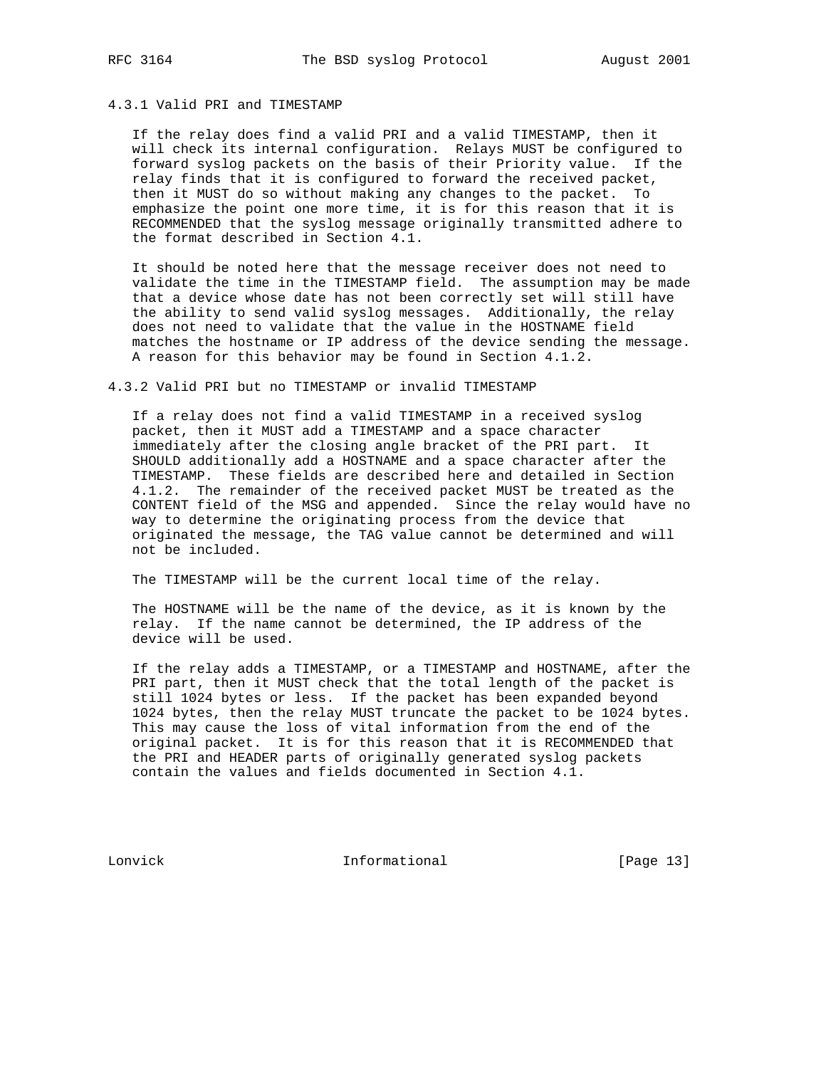## 4.3.1 Valid PRI and TIMESTAMP

 If the relay does find a valid PRI and a valid TIMESTAMP, then it will check its internal configuration. Relays MUST be configured to forward syslog packets on the basis of their Priority value. If the relay finds that it is configured to forward the received packet, then it MUST do so without making any changes to the packet. To emphasize the point one more time, it is for this reason that it is RECOMMENDED that the syslog message originally transmitted adhere to the format described in Section 4.1.

 It should be noted here that the message receiver does not need to validate the time in the TIMESTAMP field. The assumption may be made that a device whose date has not been correctly set will still have the ability to send valid syslog messages. Additionally, the relay does not need to validate that the value in the HOSTNAME field matches the hostname or IP address of the device sending the message. A reason for this behavior may be found in Section 4.1.2.

### 4.3.2 Valid PRI but no TIMESTAMP or invalid TIMESTAMP

 If a relay does not find a valid TIMESTAMP in a received syslog packet, then it MUST add a TIMESTAMP and a space character immediately after the closing angle bracket of the PRI part. It SHOULD additionally add a HOSTNAME and a space character after the TIMESTAMP. These fields are described here and detailed in Section 4.1.2. The remainder of the received packet MUST be treated as the CONTENT field of the MSG and appended. Since the relay would have no way to determine the originating process from the device that originated the message, the TAG value cannot be determined and will not be included.

The TIMESTAMP will be the current local time of the relay.

 The HOSTNAME will be the name of the device, as it is known by the relay. If the name cannot be determined, the IP address of the device will be used.

 If the relay adds a TIMESTAMP, or a TIMESTAMP and HOSTNAME, after the PRI part, then it MUST check that the total length of the packet is still 1024 bytes or less. If the packet has been expanded beyond 1024 bytes, then the relay MUST truncate the packet to be 1024 bytes. This may cause the loss of vital information from the end of the original packet. It is for this reason that it is RECOMMENDED that the PRI and HEADER parts of originally generated syslog packets contain the values and fields documented in Section 4.1.

Lonvick Informational [Page 13]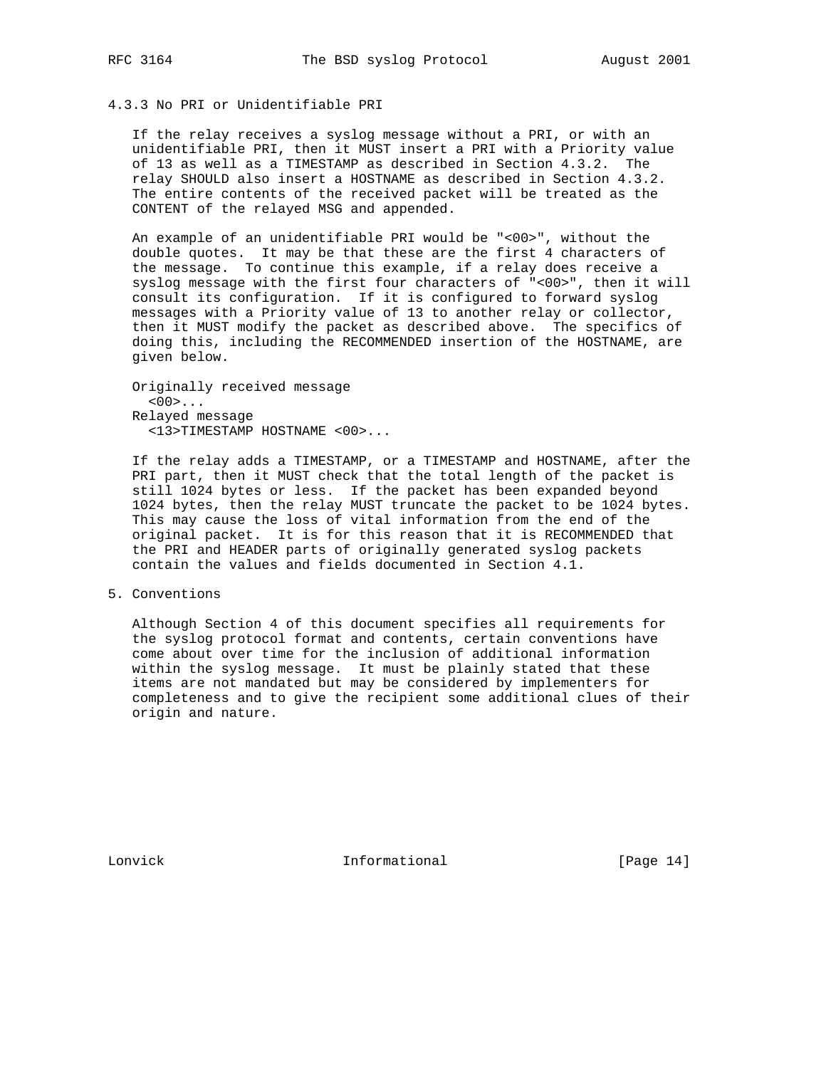# 4.3.3 No PRI or Unidentifiable PRI

 If the relay receives a syslog message without a PRI, or with an unidentifiable PRI, then it MUST insert a PRI with a Priority value of 13 as well as a TIMESTAMP as described in Section 4.3.2. The relay SHOULD also insert a HOSTNAME as described in Section 4.3.2. The entire contents of the received packet will be treated as the CONTENT of the relayed MSG and appended.

 An example of an unidentifiable PRI would be "<00>", without the double quotes. It may be that these are the first 4 characters of the message. To continue this example, if a relay does receive a syslog message with the first four characters of "<00>", then it will consult its configuration. If it is configured to forward syslog messages with a Priority value of 13 to another relay or collector, then it MUST modify the packet as described above. The specifics of doing this, including the RECOMMENDED insertion of the HOSTNAME, are given below.

 Originally received message  $<00>...$  Relayed message <13>TIMESTAMP HOSTNAME <00>...

 If the relay adds a TIMESTAMP, or a TIMESTAMP and HOSTNAME, after the PRI part, then it MUST check that the total length of the packet is still 1024 bytes or less. If the packet has been expanded beyond 1024 bytes, then the relay MUST truncate the packet to be 1024 bytes. This may cause the loss of vital information from the end of the original packet. It is for this reason that it is RECOMMENDED that the PRI and HEADER parts of originally generated syslog packets contain the values and fields documented in Section 4.1.

## 5. Conventions

 Although Section 4 of this document specifies all requirements for the syslog protocol format and contents, certain conventions have come about over time for the inclusion of additional information within the syslog message. It must be plainly stated that these items are not mandated but may be considered by implementers for completeness and to give the recipient some additional clues of their origin and nature.

Lonvick Informational [Page 14]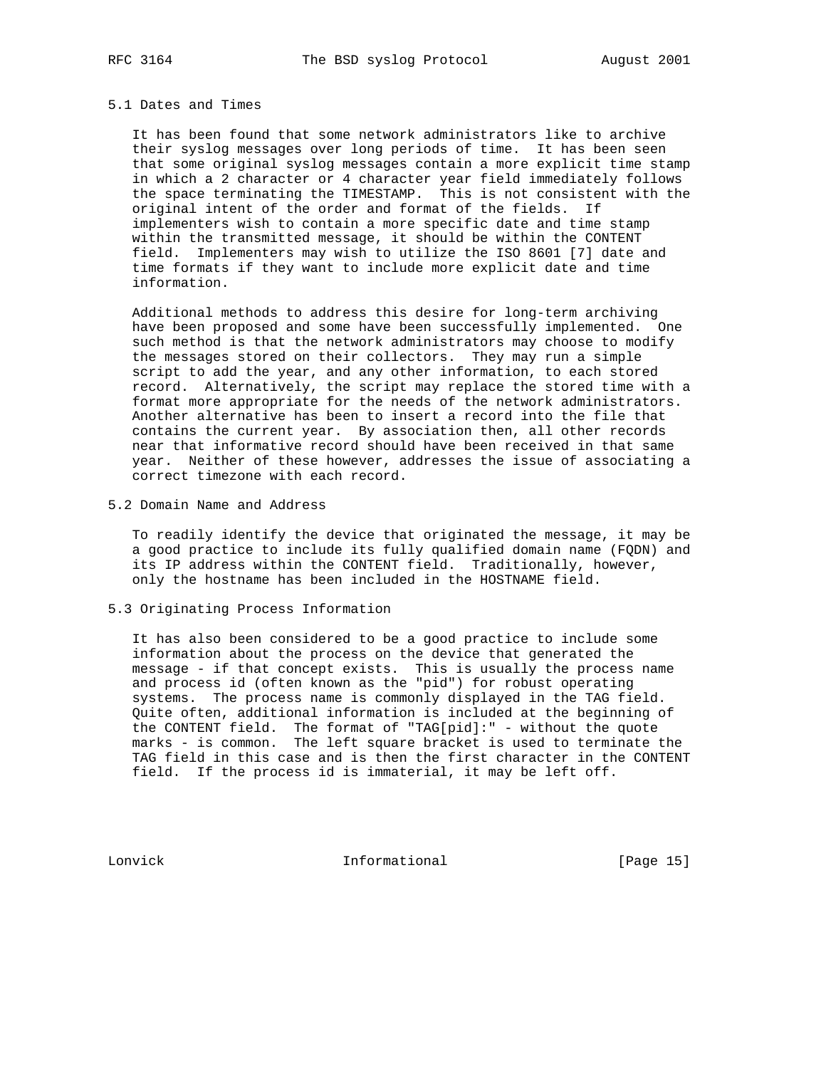## 5.1 Dates and Times

 It has been found that some network administrators like to archive their syslog messages over long periods of time. It has been seen that some original syslog messages contain a more explicit time stamp in which a 2 character or 4 character year field immediately follows the space terminating the TIMESTAMP. This is not consistent with the original intent of the order and format of the fields. If implementers wish to contain a more specific date and time stamp within the transmitted message, it should be within the CONTENT field. Implementers may wish to utilize the ISO 8601 [7] date and time formats if they want to include more explicit date and time information.

 Additional methods to address this desire for long-term archiving have been proposed and some have been successfully implemented. One such method is that the network administrators may choose to modify the messages stored on their collectors. They may run a simple script to add the year, and any other information, to each stored record. Alternatively, the script may replace the stored time with a format more appropriate for the needs of the network administrators. Another alternative has been to insert a record into the file that contains the current year. By association then, all other records near that informative record should have been received in that same year. Neither of these however, addresses the issue of associating a correct timezone with each record.

5.2 Domain Name and Address

 To readily identify the device that originated the message, it may be a good practice to include its fully qualified domain name (FQDN) and its IP address within the CONTENT field. Traditionally, however, only the hostname has been included in the HOSTNAME field.

### 5.3 Originating Process Information

 It has also been considered to be a good practice to include some information about the process on the device that generated the message - if that concept exists. This is usually the process name and process id (often known as the "pid") for robust operating systems. The process name is commonly displayed in the TAG field. Quite often, additional information is included at the beginning of the CONTENT field. The format of "TAG[pid]:" - without the quote marks - is common. The left square bracket is used to terminate the TAG field in this case and is then the first character in the CONTENT field. If the process id is immaterial, it may be left off.

Lonvick 1nformational [Page 15]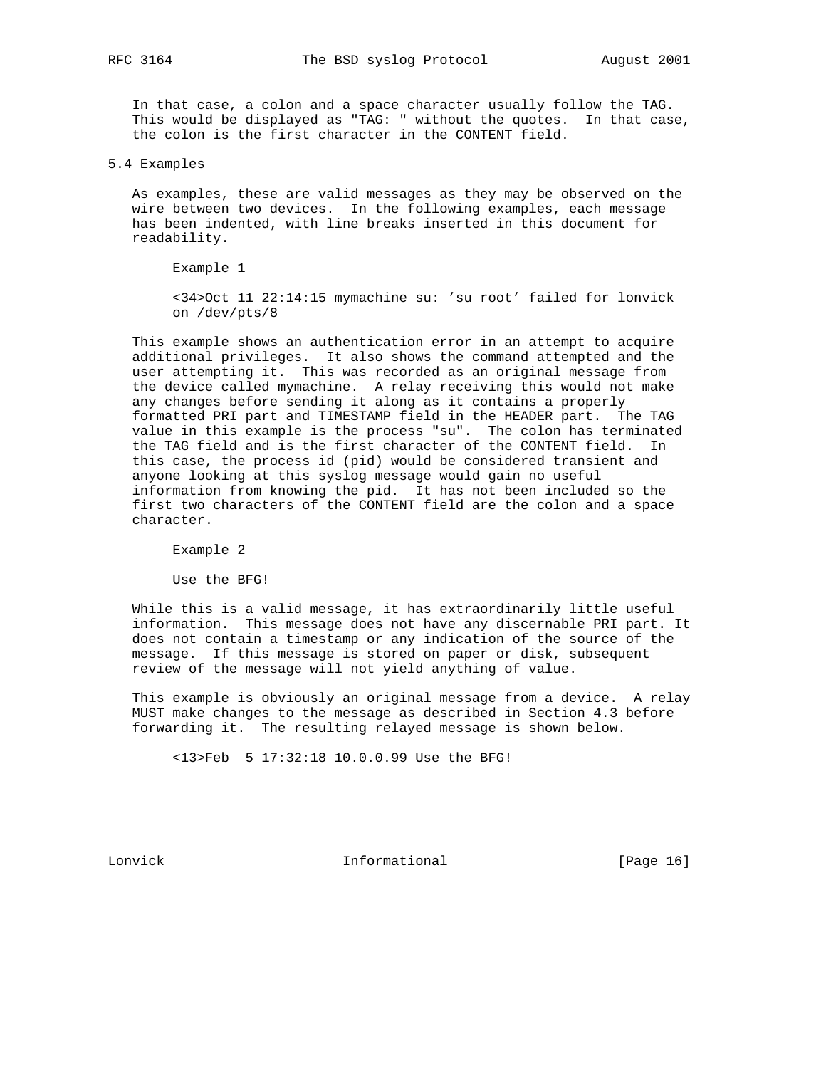In that case, a colon and a space character usually follow the TAG. This would be displayed as "TAG: " without the quotes. In that case, the colon is the first character in the CONTENT field.

5.4 Examples

 As examples, these are valid messages as they may be observed on the wire between two devices. In the following examples, each message has been indented, with line breaks inserted in this document for readability.

Example 1

 <34>Oct 11 22:14:15 mymachine su: 'su root' failed for lonvick on /dev/pts/8

 This example shows an authentication error in an attempt to acquire additional privileges. It also shows the command attempted and the user attempting it. This was recorded as an original message from the device called mymachine. A relay receiving this would not make any changes before sending it along as it contains a properly formatted PRI part and TIMESTAMP field in the HEADER part. The TAG value in this example is the process "su". The colon has terminated the TAG field and is the first character of the CONTENT field. In this case, the process id (pid) would be considered transient and anyone looking at this syslog message would gain no useful information from knowing the pid. It has not been included so the first two characters of the CONTENT field are the colon and a space character.

Example 2

Use the BFG!

 While this is a valid message, it has extraordinarily little useful information. This message does not have any discernable PRI part. It does not contain a timestamp or any indication of the source of the message. If this message is stored on paper or disk, subsequent review of the message will not yield anything of value.

 This example is obviously an original message from a device. A relay MUST make changes to the message as described in Section 4.3 before forwarding it. The resulting relayed message is shown below.

<13>Feb 5 17:32:18 10.0.0.99 Use the BFG!

Lonvick 1nformational [Page 16]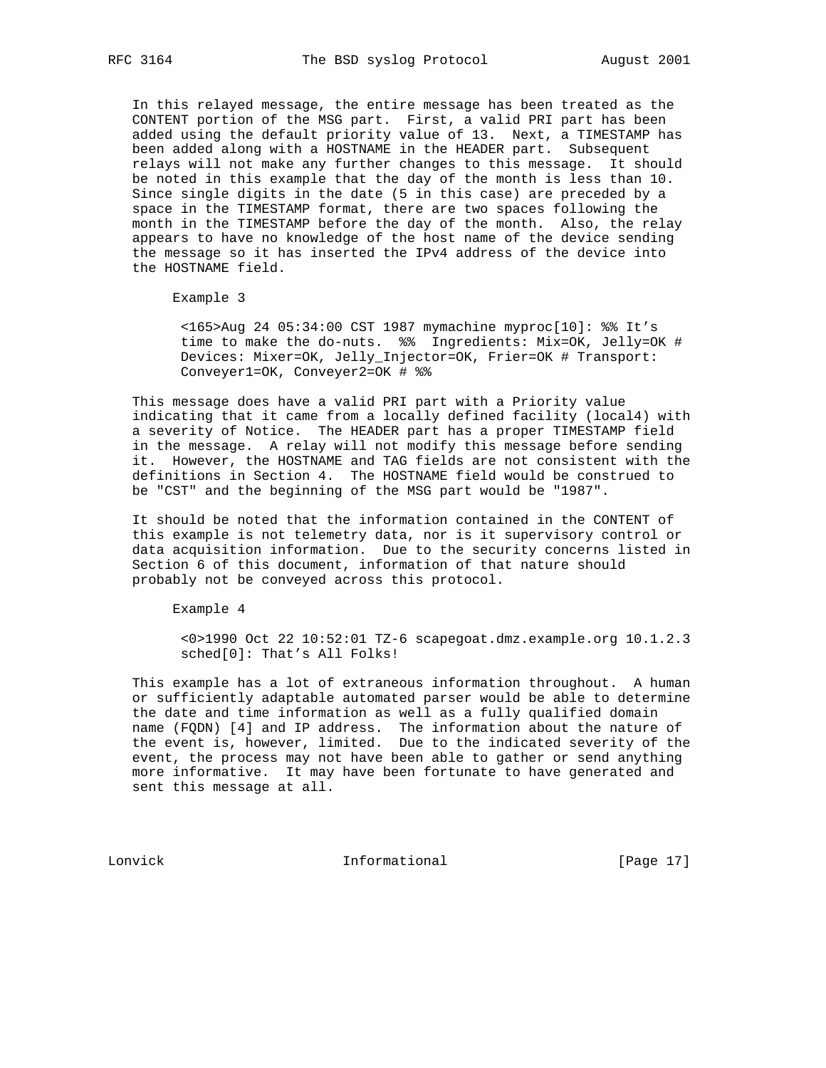In this relayed message, the entire message has been treated as the CONTENT portion of the MSG part. First, a valid PRI part has been added using the default priority value of 13. Next, a TIMESTAMP has been added along with a HOSTNAME in the HEADER part. Subsequent relays will not make any further changes to this message. It should be noted in this example that the day of the month is less than 10. Since single digits in the date (5 in this case) are preceded by a space in the TIMESTAMP format, there are two spaces following the month in the TIMESTAMP before the day of the month. Also, the relay appears to have no knowledge of the host name of the device sending the message so it has inserted the IPv4 address of the device into the HOSTNAME field.

Example 3

 <165>Aug 24 05:34:00 CST 1987 mymachine myproc[10]: %% It's time to make the do-nuts. %% Ingredients: Mix=OK, Jelly=OK # Devices: Mixer=OK, Jelly\_Injector=OK, Frier=OK # Transport: Conveyer1=OK, Conveyer2=OK # %%

 This message does have a valid PRI part with a Priority value indicating that it came from a locally defined facility (local4) with a severity of Notice. The HEADER part has a proper TIMESTAMP field in the message. A relay will not modify this message before sending it. However, the HOSTNAME and TAG fields are not consistent with the definitions in Section 4. The HOSTNAME field would be construed to be "CST" and the beginning of the MSG part would be "1987".

 It should be noted that the information contained in the CONTENT of this example is not telemetry data, nor is it supervisory control or data acquisition information. Due to the security concerns listed in Section 6 of this document, information of that nature should probably not be conveyed across this protocol.

Example 4

 <0>1990 Oct 22 10:52:01 TZ-6 scapegoat.dmz.example.org 10.1.2.3 sched[0]: That's All Folks!

 This example has a lot of extraneous information throughout. A human or sufficiently adaptable automated parser would be able to determine the date and time information as well as a fully qualified domain name (FQDN) [4] and IP address. The information about the nature of the event is, however, limited. Due to the indicated severity of the event, the process may not have been able to gather or send anything more informative. It may have been fortunate to have generated and sent this message at all.

Lonvick Informational [Page 17]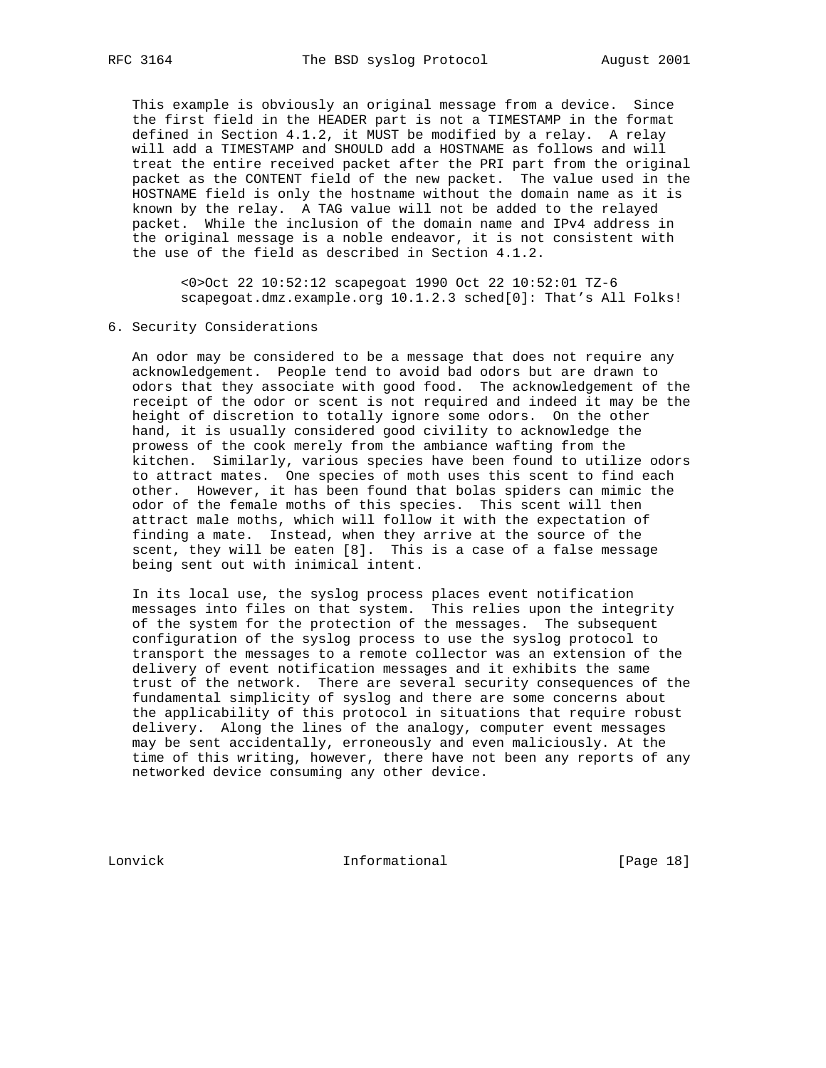This example is obviously an original message from a device. Since the first field in the HEADER part is not a TIMESTAMP in the format defined in Section 4.1.2, it MUST be modified by a relay. A relay will add a TIMESTAMP and SHOULD add a HOSTNAME as follows and will treat the entire received packet after the PRI part from the original packet as the CONTENT field of the new packet. The value used in the HOSTNAME field is only the hostname without the domain name as it is known by the relay. A TAG value will not be added to the relayed packet. While the inclusion of the domain name and IPv4 address in the original message is a noble endeavor, it is not consistent with the use of the field as described in Section 4.1.2.

 <0>Oct 22 10:52:12 scapegoat 1990 Oct 22 10:52:01 TZ-6 scapegoat.dmz.example.org 10.1.2.3 sched[0]: That's All Folks!

### 6. Security Considerations

 An odor may be considered to be a message that does not require any acknowledgement. People tend to avoid bad odors but are drawn to odors that they associate with good food. The acknowledgement of the receipt of the odor or scent is not required and indeed it may be the height of discretion to totally ignore some odors. On the other hand, it is usually considered good civility to acknowledge the prowess of the cook merely from the ambiance wafting from the kitchen. Similarly, various species have been found to utilize odors to attract mates. One species of moth uses this scent to find each other. However, it has been found that bolas spiders can mimic the odor of the female moths of this species. This scent will then attract male moths, which will follow it with the expectation of finding a mate. Instead, when they arrive at the source of the scent, they will be eaten [8]. This is a case of a false message being sent out with inimical intent.

 In its local use, the syslog process places event notification messages into files on that system. This relies upon the integrity of the system for the protection of the messages. The subsequent configuration of the syslog process to use the syslog protocol to transport the messages to a remote collector was an extension of the delivery of event notification messages and it exhibits the same trust of the network. There are several security consequences of the fundamental simplicity of syslog and there are some concerns about the applicability of this protocol in situations that require robust delivery. Along the lines of the analogy, computer event messages may be sent accidentally, erroneously and even maliciously. At the time of this writing, however, there have not been any reports of any networked device consuming any other device.

Lonvick Informational [Page 18]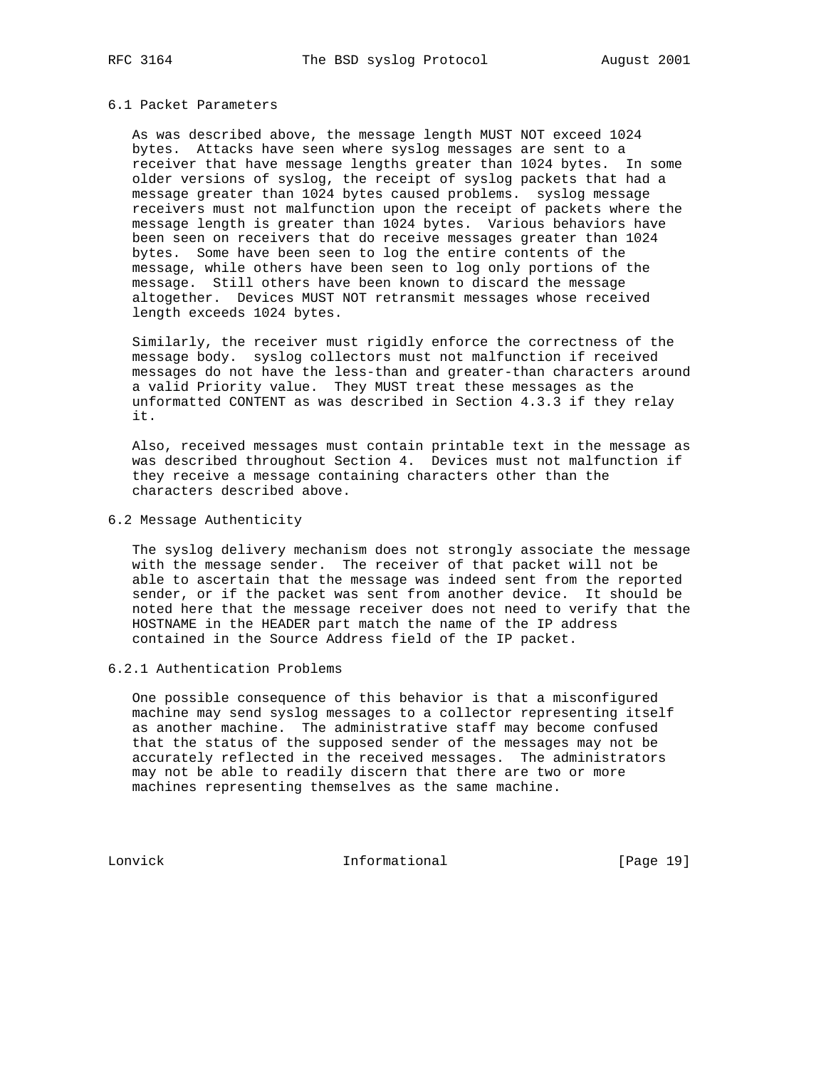#### 6.1 Packet Parameters

 As was described above, the message length MUST NOT exceed 1024 bytes. Attacks have seen where syslog messages are sent to a receiver that have message lengths greater than 1024 bytes. In some older versions of syslog, the receipt of syslog packets that had a message greater than 1024 bytes caused problems. syslog message receivers must not malfunction upon the receipt of packets where the message length is greater than 1024 bytes. Various behaviors have been seen on receivers that do receive messages greater than 1024 bytes. Some have been seen to log the entire contents of the message, while others have been seen to log only portions of the message. Still others have been known to discard the message altogether. Devices MUST NOT retransmit messages whose received length exceeds 1024 bytes.

 Similarly, the receiver must rigidly enforce the correctness of the message body. syslog collectors must not malfunction if received messages do not have the less-than and greater-than characters around a valid Priority value. They MUST treat these messages as the unformatted CONTENT as was described in Section 4.3.3 if they relay it.

 Also, received messages must contain printable text in the message as was described throughout Section 4. Devices must not malfunction if they receive a message containing characters other than the characters described above.

## 6.2 Message Authenticity

 The syslog delivery mechanism does not strongly associate the message with the message sender. The receiver of that packet will not be able to ascertain that the message was indeed sent from the reported sender, or if the packet was sent from another device. It should be noted here that the message receiver does not need to verify that the HOSTNAME in the HEADER part match the name of the IP address contained in the Source Address field of the IP packet.

## 6.2.1 Authentication Problems

 One possible consequence of this behavior is that a misconfigured machine may send syslog messages to a collector representing itself as another machine. The administrative staff may become confused that the status of the supposed sender of the messages may not be accurately reflected in the received messages. The administrators may not be able to readily discern that there are two or more machines representing themselves as the same machine.

Lonvick Informational [Page 19]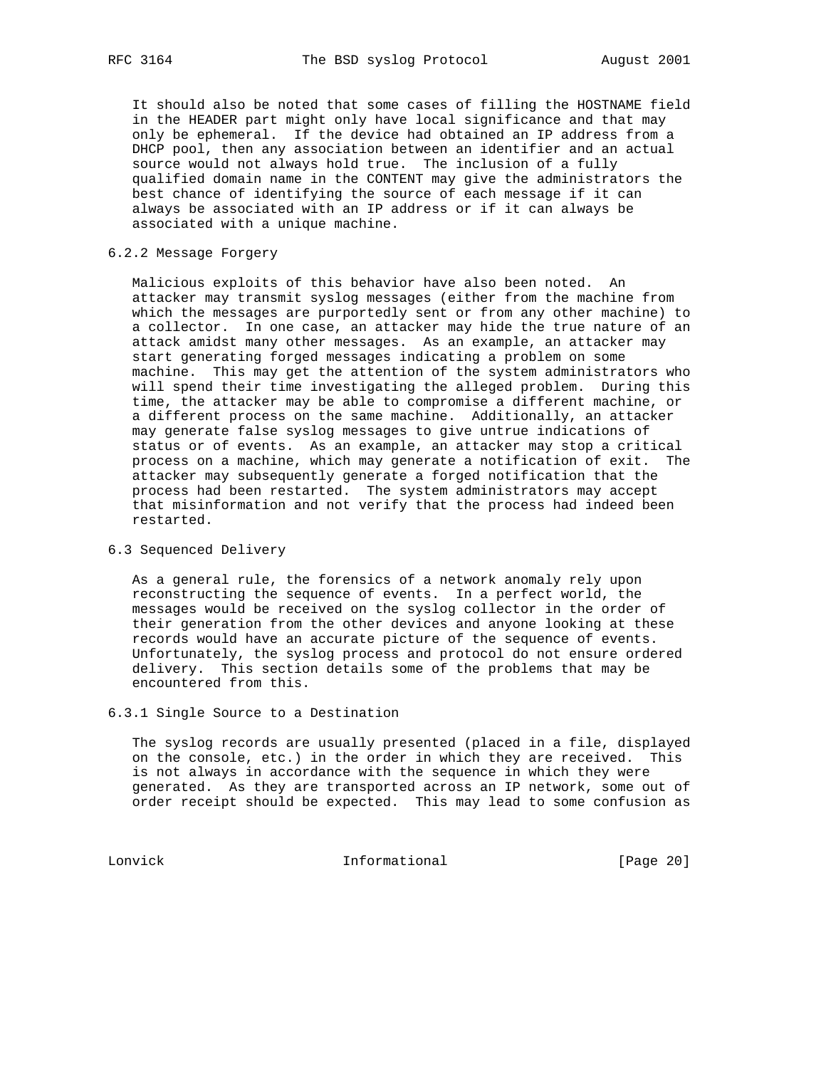It should also be noted that some cases of filling the HOSTNAME field in the HEADER part might only have local significance and that may only be ephemeral. If the device had obtained an IP address from a DHCP pool, then any association between an identifier and an actual source would not always hold true. The inclusion of a fully qualified domain name in the CONTENT may give the administrators the best chance of identifying the source of each message if it can always be associated with an IP address or if it can always be associated with a unique machine.

## 6.2.2 Message Forgery

 Malicious exploits of this behavior have also been noted. An attacker may transmit syslog messages (either from the machine from which the messages are purportedly sent or from any other machine) to a collector. In one case, an attacker may hide the true nature of an attack amidst many other messages. As an example, an attacker may start generating forged messages indicating a problem on some machine. This may get the attention of the system administrators who will spend their time investigating the alleged problem. During this time, the attacker may be able to compromise a different machine, or a different process on the same machine. Additionally, an attacker may generate false syslog messages to give untrue indications of status or of events. As an example, an attacker may stop a critical process on a machine, which may generate a notification of exit. The attacker may subsequently generate a forged notification that the process had been restarted. The system administrators may accept that misinformation and not verify that the process had indeed been restarted.

## 6.3 Sequenced Delivery

 As a general rule, the forensics of a network anomaly rely upon reconstructing the sequence of events. In a perfect world, the messages would be received on the syslog collector in the order of their generation from the other devices and anyone looking at these records would have an accurate picture of the sequence of events. Unfortunately, the syslog process and protocol do not ensure ordered delivery. This section details some of the problems that may be encountered from this.

6.3.1 Single Source to a Destination

 The syslog records are usually presented (placed in a file, displayed on the console, etc.) in the order in which they are received. This is not always in accordance with the sequence in which they were generated. As they are transported across an IP network, some out of order receipt should be expected. This may lead to some confusion as

Lonvick Informational [Page 20]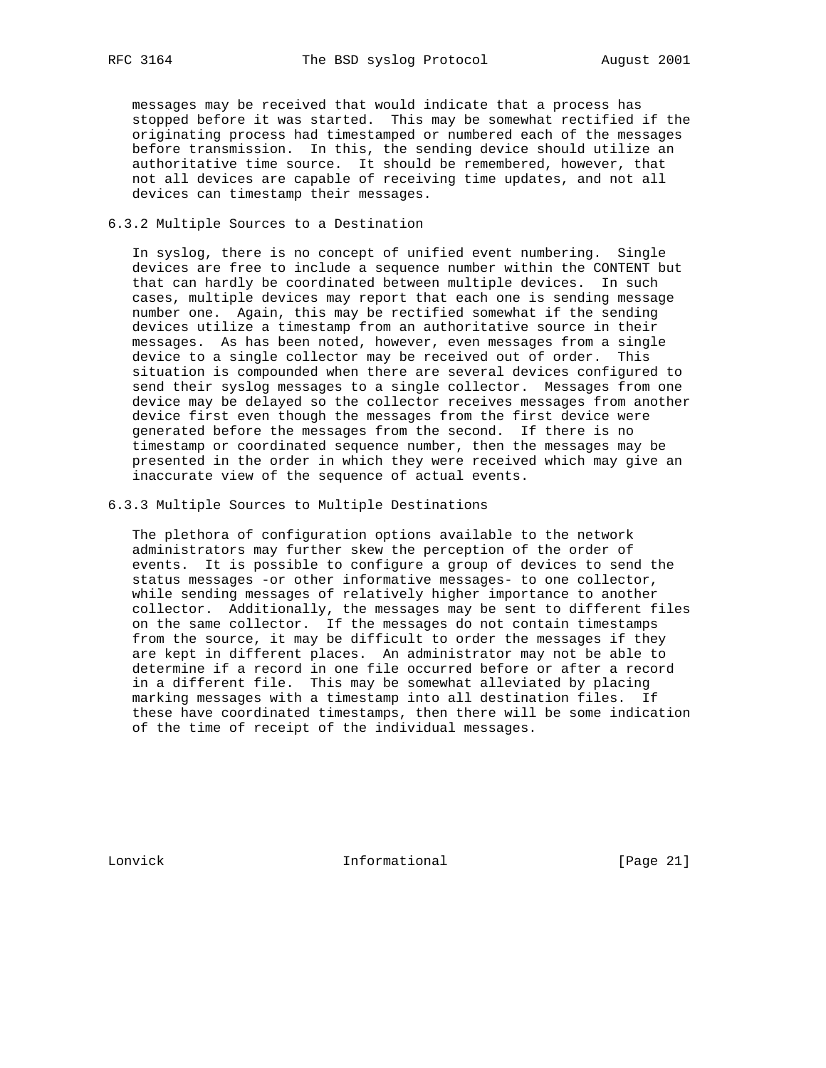messages may be received that would indicate that a process has stopped before it was started. This may be somewhat rectified if the originating process had timestamped or numbered each of the messages before transmission. In this, the sending device should utilize an authoritative time source. It should be remembered, however, that not all devices are capable of receiving time updates, and not all devices can timestamp their messages.

## 6.3.2 Multiple Sources to a Destination

 In syslog, there is no concept of unified event numbering. Single devices are free to include a sequence number within the CONTENT but that can hardly be coordinated between multiple devices. In such cases, multiple devices may report that each one is sending message number one. Again, this may be rectified somewhat if the sending devices utilize a timestamp from an authoritative source in their messages. As has been noted, however, even messages from a single device to a single collector may be received out of order. This situation is compounded when there are several devices configured to send their syslog messages to a single collector. Messages from one device may be delayed so the collector receives messages from another device first even though the messages from the first device were generated before the messages from the second. If there is no timestamp or coordinated sequence number, then the messages may be presented in the order in which they were received which may give an inaccurate view of the sequence of actual events.

### 6.3.3 Multiple Sources to Multiple Destinations

 The plethora of configuration options available to the network administrators may further skew the perception of the order of events. It is possible to configure a group of devices to send the status messages -or other informative messages- to one collector, while sending messages of relatively higher importance to another collector. Additionally, the messages may be sent to different files on the same collector. If the messages do not contain timestamps from the source, it may be difficult to order the messages if they are kept in different places. An administrator may not be able to determine if a record in one file occurred before or after a record in a different file. This may be somewhat alleviated by placing marking messages with a timestamp into all destination files. If these have coordinated timestamps, then there will be some indication of the time of receipt of the individual messages.

Lonvick Informational [Page 21]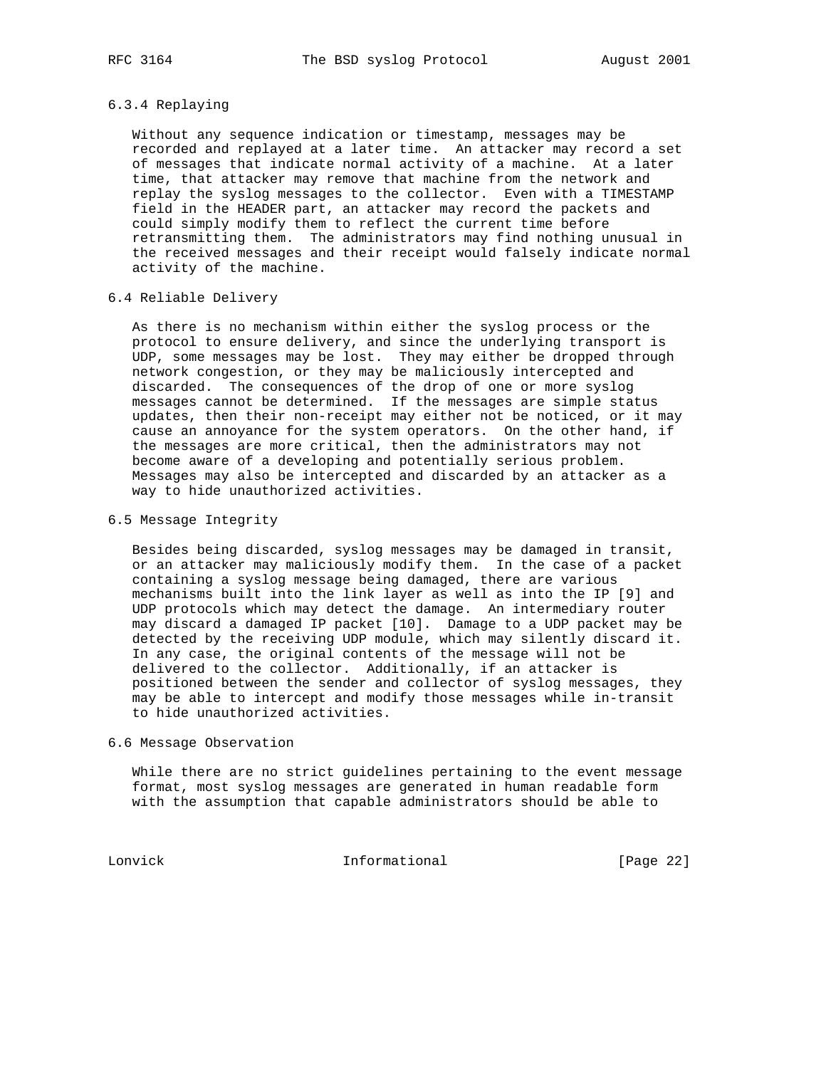## 6.3.4 Replaying

 Without any sequence indication or timestamp, messages may be recorded and replayed at a later time. An attacker may record a set of messages that indicate normal activity of a machine. At a later time, that attacker may remove that machine from the network and replay the syslog messages to the collector. Even with a TIMESTAMP field in the HEADER part, an attacker may record the packets and could simply modify them to reflect the current time before retransmitting them. The administrators may find nothing unusual in the received messages and their receipt would falsely indicate normal activity of the machine.

## 6.4 Reliable Delivery

 As there is no mechanism within either the syslog process or the protocol to ensure delivery, and since the underlying transport is UDP, some messages may be lost. They may either be dropped through network congestion, or they may be maliciously intercepted and discarded. The consequences of the drop of one or more syslog messages cannot be determined. If the messages are simple status updates, then their non-receipt may either not be noticed, or it may cause an annoyance for the system operators. On the other hand, if the messages are more critical, then the administrators may not become aware of a developing and potentially serious problem. Messages may also be intercepted and discarded by an attacker as a way to hide unauthorized activities.

## 6.5 Message Integrity

 Besides being discarded, syslog messages may be damaged in transit, or an attacker may maliciously modify them. In the case of a packet containing a syslog message being damaged, there are various mechanisms built into the link layer as well as into the IP [9] and UDP protocols which may detect the damage. An intermediary router may discard a damaged IP packet [10]. Damage to a UDP packet may be detected by the receiving UDP module, which may silently discard it. In any case, the original contents of the message will not be delivered to the collector. Additionally, if an attacker is positioned between the sender and collector of syslog messages, they may be able to intercept and modify those messages while in-transit to hide unauthorized activities.

#### 6.6 Message Observation

 While there are no strict guidelines pertaining to the event message format, most syslog messages are generated in human readable form with the assumption that capable administrators should be able to

Lonvick Informational [Page 22]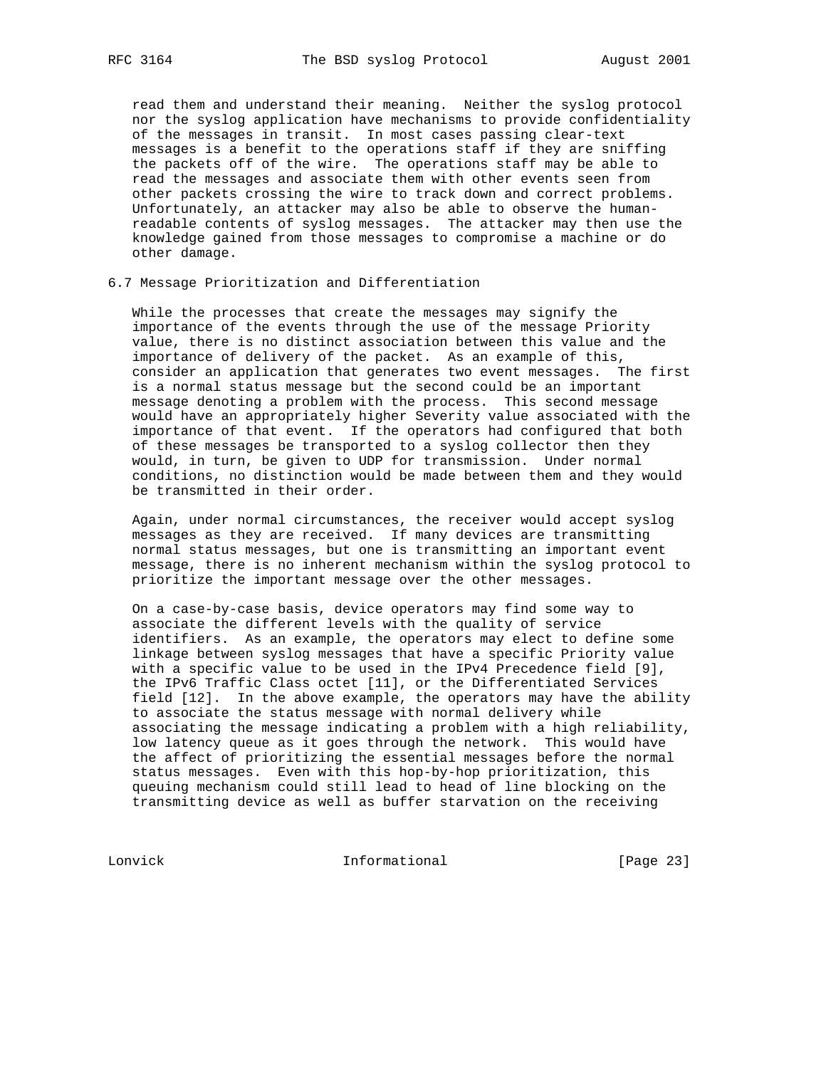read them and understand their meaning. Neither the syslog protocol nor the syslog application have mechanisms to provide confidentiality of the messages in transit. In most cases passing clear-text messages is a benefit to the operations staff if they are sniffing the packets off of the wire. The operations staff may be able to read the messages and associate them with other events seen from other packets crossing the wire to track down and correct problems. Unfortunately, an attacker may also be able to observe the human readable contents of syslog messages. The attacker may then use the knowledge gained from those messages to compromise a machine or do other damage.

## 6.7 Message Prioritization and Differentiation

 While the processes that create the messages may signify the importance of the events through the use of the message Priority value, there is no distinct association between this value and the importance of delivery of the packet. As an example of this, consider an application that generates two event messages. The first is a normal status message but the second could be an important message denoting a problem with the process. This second message would have an appropriately higher Severity value associated with the importance of that event. If the operators had configured that both of these messages be transported to a syslog collector then they would, in turn, be given to UDP for transmission. Under normal conditions, no distinction would be made between them and they would be transmitted in their order.

 Again, under normal circumstances, the receiver would accept syslog messages as they are received. If many devices are transmitting normal status messages, but one is transmitting an important event message, there is no inherent mechanism within the syslog protocol to prioritize the important message over the other messages.

 On a case-by-case basis, device operators may find some way to associate the different levels with the quality of service identifiers. As an example, the operators may elect to define some linkage between syslog messages that have a specific Priority value with a specific value to be used in the IPv4 Precedence field [9], the IPv6 Traffic Class octet [11], or the Differentiated Services field [12]. In the above example, the operators may have the ability to associate the status message with normal delivery while associating the message indicating a problem with a high reliability, low latency queue as it goes through the network. This would have the affect of prioritizing the essential messages before the normal status messages. Even with this hop-by-hop prioritization, this queuing mechanism could still lead to head of line blocking on the transmitting device as well as buffer starvation on the receiving

Lonvick Informational [Page 23]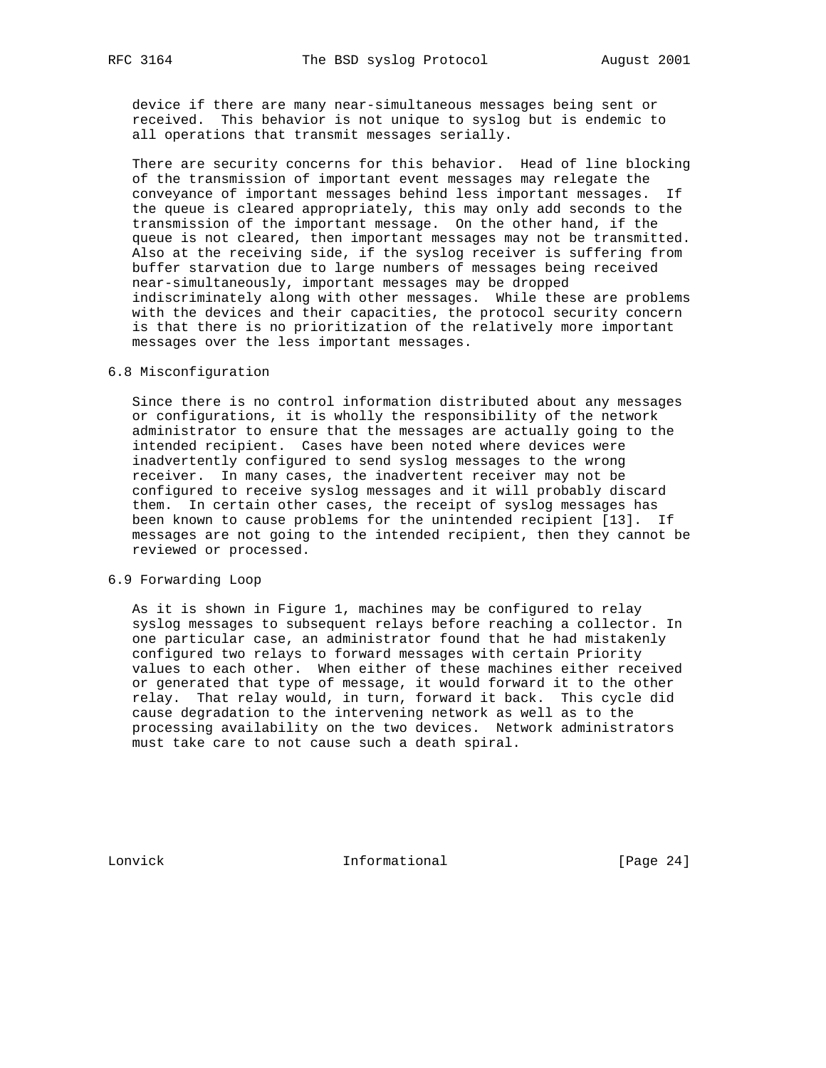device if there are many near-simultaneous messages being sent or received. This behavior is not unique to syslog but is endemic to all operations that transmit messages serially.

 There are security concerns for this behavior. Head of line blocking of the transmission of important event messages may relegate the conveyance of important messages behind less important messages. If the queue is cleared appropriately, this may only add seconds to the transmission of the important message. On the other hand, if the queue is not cleared, then important messages may not be transmitted. Also at the receiving side, if the syslog receiver is suffering from buffer starvation due to large numbers of messages being received near-simultaneously, important messages may be dropped indiscriminately along with other messages. While these are problems with the devices and their capacities, the protocol security concern is that there is no prioritization of the relatively more important messages over the less important messages.

## 6.8 Misconfiguration

 Since there is no control information distributed about any messages or configurations, it is wholly the responsibility of the network administrator to ensure that the messages are actually going to the intended recipient. Cases have been noted where devices were inadvertently configured to send syslog messages to the wrong receiver. In many cases, the inadvertent receiver may not be configured to receive syslog messages and it will probably discard them. In certain other cases, the receipt of syslog messages has been known to cause problems for the unintended recipient [13]. If messages are not going to the intended recipient, then they cannot be reviewed or processed.

## 6.9 Forwarding Loop

 As it is shown in Figure 1, machines may be configured to relay syslog messages to subsequent relays before reaching a collector. In one particular case, an administrator found that he had mistakenly configured two relays to forward messages with certain Priority values to each other. When either of these machines either received or generated that type of message, it would forward it to the other relay. That relay would, in turn, forward it back. This cycle did cause degradation to the intervening network as well as to the processing availability on the two devices. Network administrators must take care to not cause such a death spiral.

Lonvick Informational [Page 24]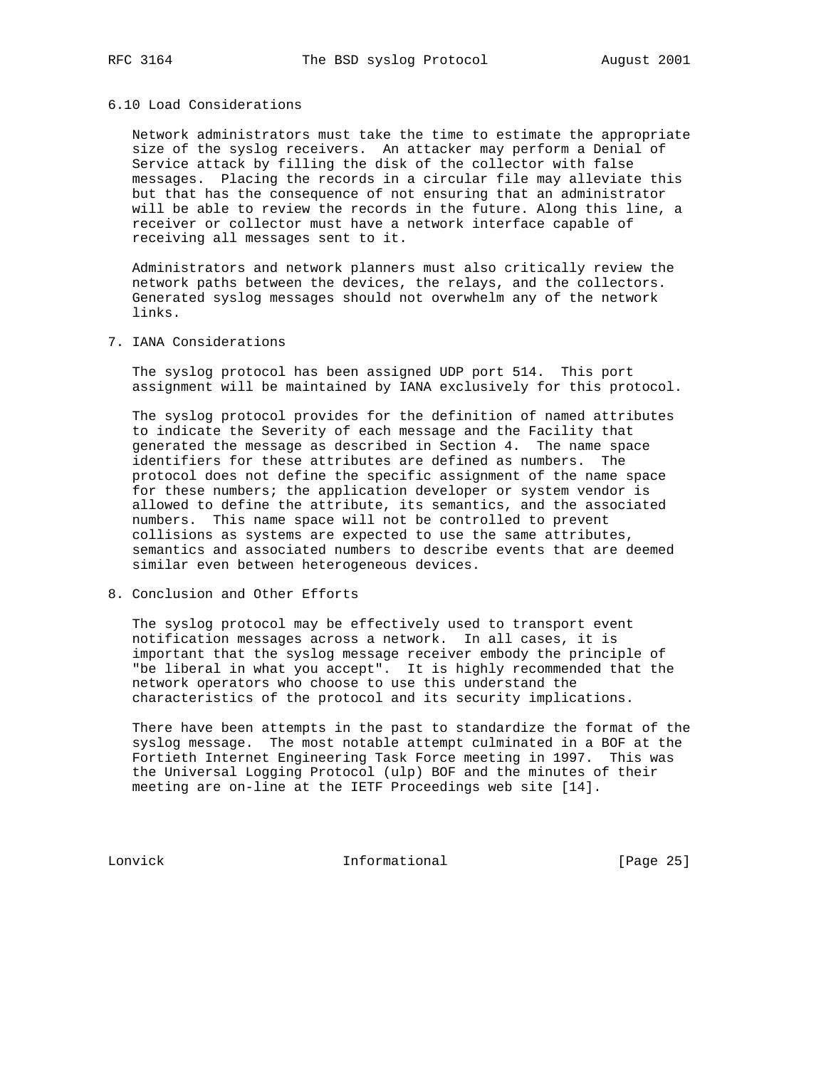#### 6.10 Load Considerations

 Network administrators must take the time to estimate the appropriate size of the syslog receivers. An attacker may perform a Denial of Service attack by filling the disk of the collector with false messages. Placing the records in a circular file may alleviate this but that has the consequence of not ensuring that an administrator will be able to review the records in the future. Along this line, a receiver or collector must have a network interface capable of receiving all messages sent to it.

 Administrators and network planners must also critically review the network paths between the devices, the relays, and the collectors. Generated syslog messages should not overwhelm any of the network links.

7. IANA Considerations

 The syslog protocol has been assigned UDP port 514. This port assignment will be maintained by IANA exclusively for this protocol.

 The syslog protocol provides for the definition of named attributes to indicate the Severity of each message and the Facility that generated the message as described in Section 4. The name space identifiers for these attributes are defined as numbers. The protocol does not define the specific assignment of the name space for these numbers; the application developer or system vendor is allowed to define the attribute, its semantics, and the associated numbers. This name space will not be controlled to prevent collisions as systems are expected to use the same attributes, semantics and associated numbers to describe events that are deemed similar even between heterogeneous devices.

8. Conclusion and Other Efforts

 The syslog protocol may be effectively used to transport event notification messages across a network. In all cases, it is important that the syslog message receiver embody the principle of "be liberal in what you accept". It is highly recommended that the network operators who choose to use this understand the characteristics of the protocol and its security implications.

 There have been attempts in the past to standardize the format of the syslog message. The most notable attempt culminated in a BOF at the Fortieth Internet Engineering Task Force meeting in 1997. This was the Universal Logging Protocol (ulp) BOF and the minutes of their meeting are on-line at the IETF Proceedings web site [14].

Lonvick Informational [Page 25]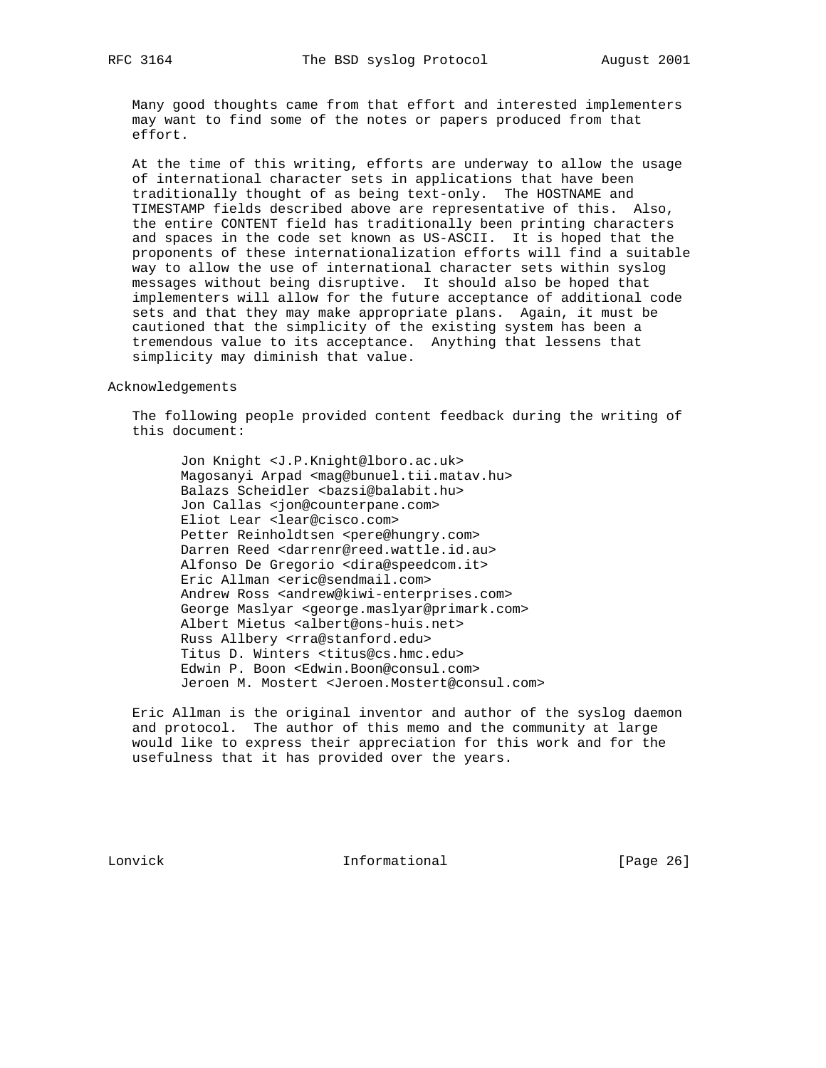Many good thoughts came from that effort and interested implementers may want to find some of the notes or papers produced from that effort.

 At the time of this writing, efforts are underway to allow the usage of international character sets in applications that have been traditionally thought of as being text-only. The HOSTNAME and TIMESTAMP fields described above are representative of this. Also, the entire CONTENT field has traditionally been printing characters and spaces in the code set known as US-ASCII. It is hoped that the proponents of these internationalization efforts will find a suitable way to allow the use of international character sets within syslog messages without being disruptive. It should also be hoped that implementers will allow for the future acceptance of additional code sets and that they may make appropriate plans. Again, it must be cautioned that the simplicity of the existing system has been a tremendous value to its acceptance. Anything that lessens that simplicity may diminish that value.

Acknowledgements

 The following people provided content feedback during the writing of this document:

 Jon Knight <J.P.Knight@lboro.ac.uk> Magosanyi Arpad <mag@bunuel.tii.matav.hu> Balazs Scheidler <br/>bazsi@balabit.hu> Jon Callas <jon@counterpane.com> Eliot Lear <lear@cisco.com> Petter Reinholdtsen <pere@hungry.com> Darren Reed <darrenr@reed.wattle.id.au> Alfonso De Gregorio <dira@speedcom.it> Eric Allman <eric@sendmail.com> Andrew Ross <andrew@kiwi-enterprises.com> George Maslyar <george.maslyar@primark.com> Albert Mietus <albert@ons-huis.net> Russ Allbery <rra@stanford.edu> Titus D. Winters <titus@cs.hmc.edu> Edwin P. Boon <Edwin.Boon@consul.com> Jeroen M. Mostert <Jeroen.Mostert@consul.com>

 Eric Allman is the original inventor and author of the syslog daemon and protocol. The author of this memo and the community at large would like to express their appreciation for this work and for the usefulness that it has provided over the years.

Lonvick Informational [Page 26]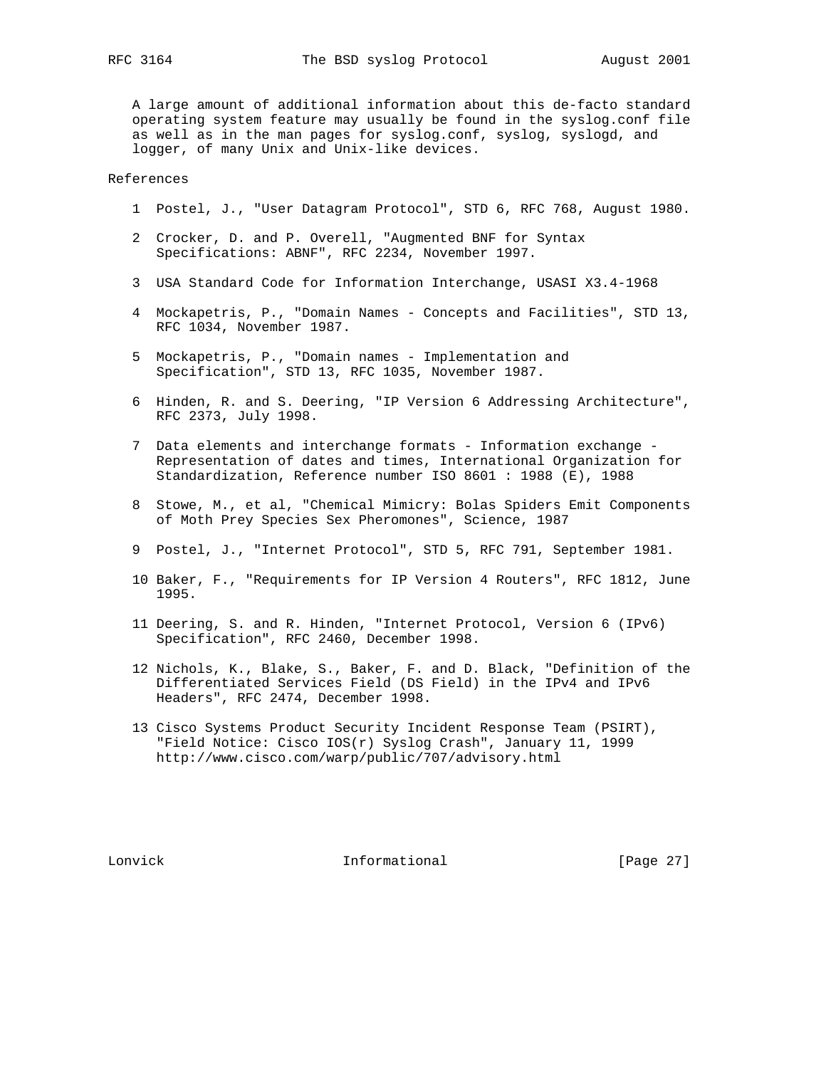A large amount of additional information about this de-facto standard operating system feature may usually be found in the syslog.conf file as well as in the man pages for syslog.conf, syslog, syslogd, and logger, of many Unix and Unix-like devices.

References

- 1 Postel, J., "User Datagram Protocol", STD 6, RFC 768, August 1980.
- 2 Crocker, D. and P. Overell, "Augmented BNF for Syntax Specifications: ABNF", RFC 2234, November 1997.
- 3 USA Standard Code for Information Interchange, USASI X3.4-1968
- 4 Mockapetris, P., "Domain Names Concepts and Facilities", STD 13, RFC 1034, November 1987.
- 5 Mockapetris, P., "Domain names Implementation and Specification", STD 13, RFC 1035, November 1987.
- 6 Hinden, R. and S. Deering, "IP Version 6 Addressing Architecture", RFC 2373, July 1998.
- 7 Data elements and interchange formats Information exchange Representation of dates and times, International Organization for Standardization, Reference number ISO 8601 : 1988 (E), 1988
- 8 Stowe, M., et al, "Chemical Mimicry: Bolas Spiders Emit Components of Moth Prey Species Sex Pheromones", Science, 1987
- 9 Postel, J., "Internet Protocol", STD 5, RFC 791, September 1981.
- 10 Baker, F., "Requirements for IP Version 4 Routers", RFC 1812, June 1995.
- 11 Deering, S. and R. Hinden, "Internet Protocol, Version 6 (IPv6) Specification", RFC 2460, December 1998.
- 12 Nichols, K., Blake, S., Baker, F. and D. Black, "Definition of the Differentiated Services Field (DS Field) in the IPv4 and IPv6 Headers", RFC 2474, December 1998.
- 13 Cisco Systems Product Security Incident Response Team (PSIRT), "Field Notice: Cisco IOS(r) Syslog Crash", January 11, 1999 http://www.cisco.com/warp/public/707/advisory.html

Lonvick Informational [Page 27]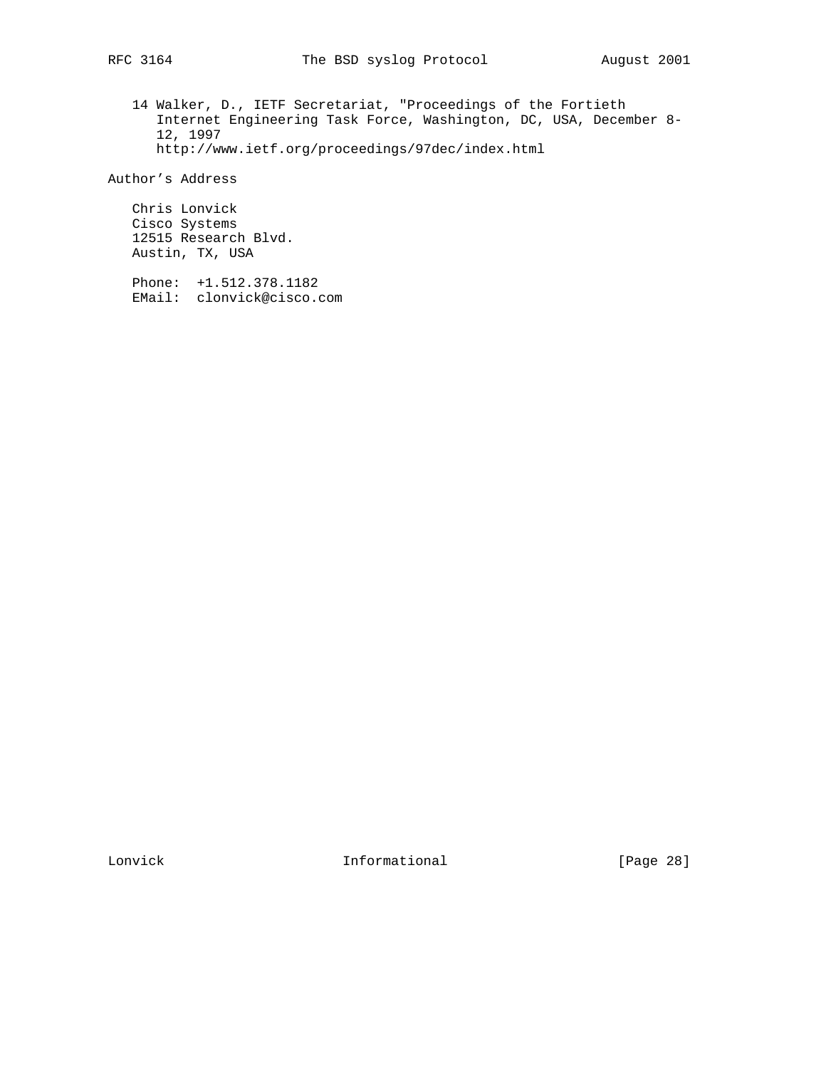14 Walker, D., IETF Secretariat, "Proceedings of the Fortieth Internet Engineering Task Force, Washington, DC, USA, December 8- 12, 1997 http://www.ietf.org/proceedings/97dec/index.html

Author's Address

 Chris Lonvick Cisco Systems 12515 Research Blvd. Austin, TX, USA

 Phone: +1.512.378.1182 EMail: clonvick@cisco.com

Lonvick 1nformational [Page 28]